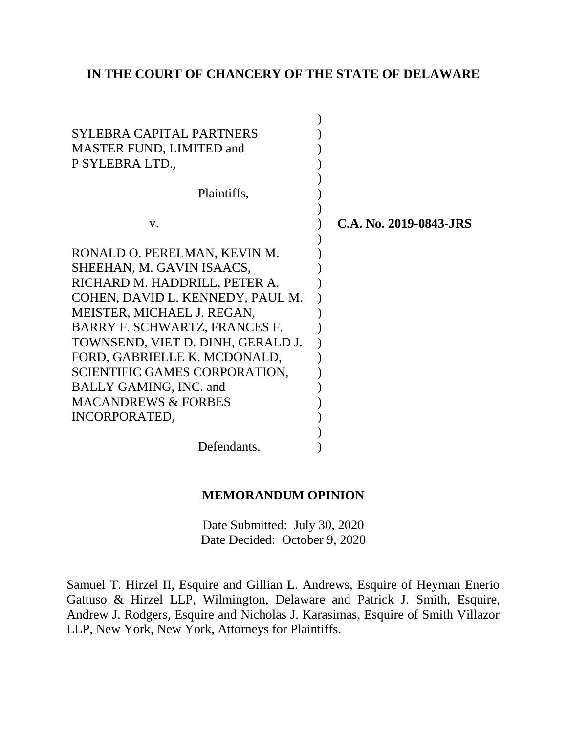## **IN THE COURT OF CHANCERY OF THE STATE OF DELAWARE**

| SYLEBRA CAPITAL PARTNERS<br>MASTER FUND, LIMITED and<br>P SYLEBRA LTD.,<br>Plaintiffs, |                        |
|----------------------------------------------------------------------------------------|------------------------|
| V.                                                                                     | C.A. No. 2019-0843-JRS |
| RONALD O. PERELMAN, KEVIN M.                                                           |                        |
| SHEEHAN, M. GAVIN ISAACS,                                                              |                        |
| RICHARD M. HADDRILL, PETER A.                                                          |                        |
| COHEN, DAVID L. KENNEDY, PAUL M.                                                       |                        |
|                                                                                        |                        |
| MEISTER, MICHAEL J. REGAN,                                                             |                        |
| BARRY F. SCHWARTZ, FRANCES F.                                                          |                        |
| TOWNSEND, VIET D. DINH, GERALD J.                                                      |                        |
| FORD, GABRIELLE K. MCDONALD,                                                           |                        |
| SCIENTIFIC GAMES CORPORATION,                                                          |                        |
| <b>BALLY GAMING, INC. and</b>                                                          |                        |
| <b>MACANDREWS &amp; FORBES</b>                                                         |                        |
| INCORPORATED,                                                                          |                        |
|                                                                                        |                        |
| Defendants.                                                                            |                        |

## **MEMORANDUM OPINION**

Date Submitted: July 30, 2020 Date Decided: October 9, 2020

Samuel T. Hirzel II, Esquire and Gillian L. Andrews, Esquire of Heyman Enerio Gattuso & Hirzel LLP, Wilmington, Delaware and Patrick J. Smith, Esquire, Andrew J. Rodgers, Esquire and Nicholas J. Karasimas, Esquire of Smith Villazor LLP, New York, New York, Attorneys for Plaintiffs.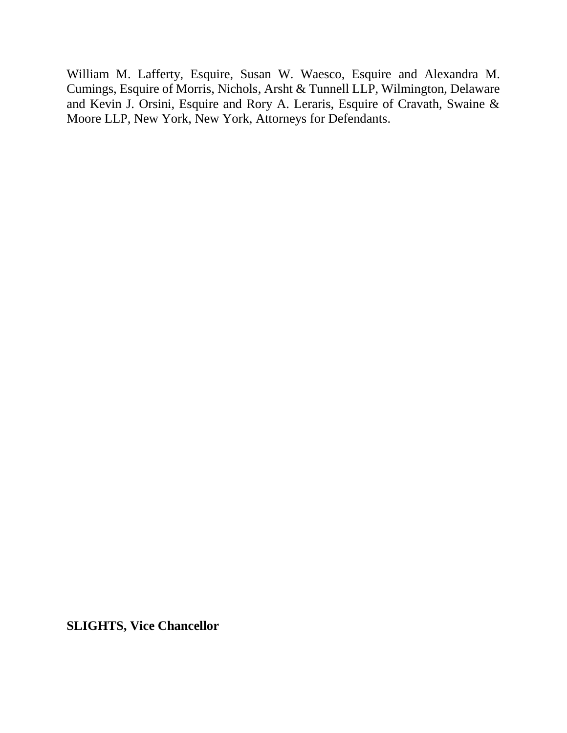William M. Lafferty, Esquire, Susan W. Waesco, Esquire and Alexandra M. Cumings, Esquire of Morris, Nichols, Arsht & Tunnell LLP, Wilmington, Delaware and Kevin J. Orsini, Esquire and Rory A. Leraris, Esquire of Cravath, Swaine & Moore LLP, New York, New York, Attorneys for Defendants.

**SLIGHTS, Vice Chancellor**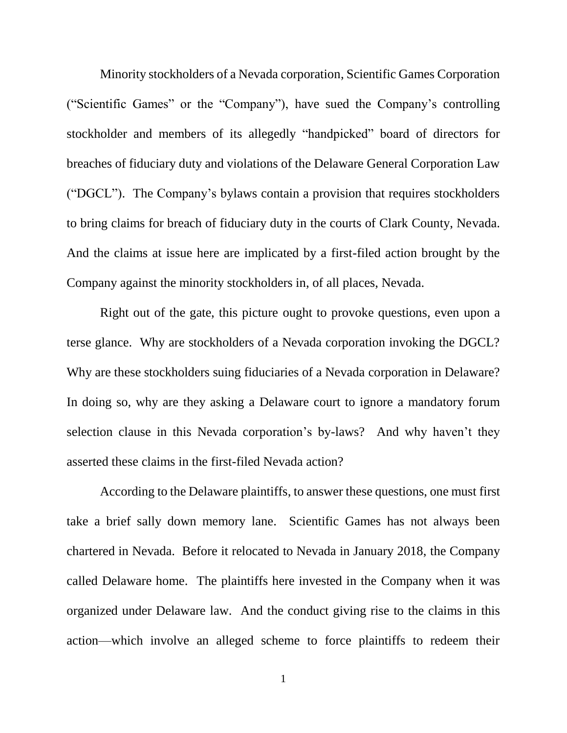Minority stockholders of a Nevada corporation, Scientific Games Corporation ("Scientific Games" or the "Company"), have sued the Company's controlling stockholder and members of its allegedly "handpicked" board of directors for breaches of fiduciary duty and violations of the Delaware General Corporation Law ("DGCL"). The Company's bylaws contain a provision that requires stockholders to bring claims for breach of fiduciary duty in the courts of Clark County, Nevada. And the claims at issue here are implicated by a first-filed action brought by the Company against the minority stockholders in, of all places, Nevada.

Right out of the gate, this picture ought to provoke questions, even upon a terse glance. Why are stockholders of a Nevada corporation invoking the DGCL? Why are these stockholders suing fiduciaries of a Nevada corporation in Delaware? In doing so, why are they asking a Delaware court to ignore a mandatory forum selection clause in this Nevada corporation's by-laws? And why haven't they asserted these claims in the first-filed Nevada action?

According to the Delaware plaintiffs, to answer these questions, one must first take a brief sally down memory lane. Scientific Games has not always been chartered in Nevada. Before it relocated to Nevada in January 2018, the Company called Delaware home. The plaintiffs here invested in the Company when it was organized under Delaware law. And the conduct giving rise to the claims in this action—which involve an alleged scheme to force plaintiffs to redeem their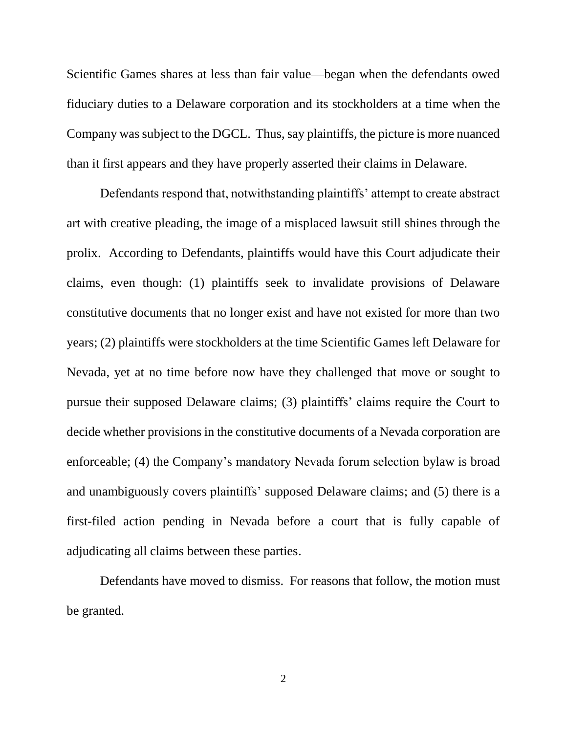Scientific Games shares at less than fair value—began when the defendants owed fiduciary duties to a Delaware corporation and its stockholders at a time when the Company was subject to the DGCL. Thus, say plaintiffs, the picture is more nuanced than it first appears and they have properly asserted their claims in Delaware.

Defendants respond that, notwithstanding plaintiffs' attempt to create abstract art with creative pleading, the image of a misplaced lawsuit still shines through the prolix. According to Defendants, plaintiffs would have this Court adjudicate their claims, even though: (1) plaintiffs seek to invalidate provisions of Delaware constitutive documents that no longer exist and have not existed for more than two years; (2) plaintiffs were stockholders at the time Scientific Games left Delaware for Nevada, yet at no time before now have they challenged that move or sought to pursue their supposed Delaware claims; (3) plaintiffs' claims require the Court to decide whether provisions in the constitutive documents of a Nevada corporation are enforceable; (4) the Company's mandatory Nevada forum selection bylaw is broad and unambiguously covers plaintiffs' supposed Delaware claims; and (5) there is a first-filed action pending in Nevada before a court that is fully capable of adjudicating all claims between these parties.

Defendants have moved to dismiss. For reasons that follow, the motion must be granted.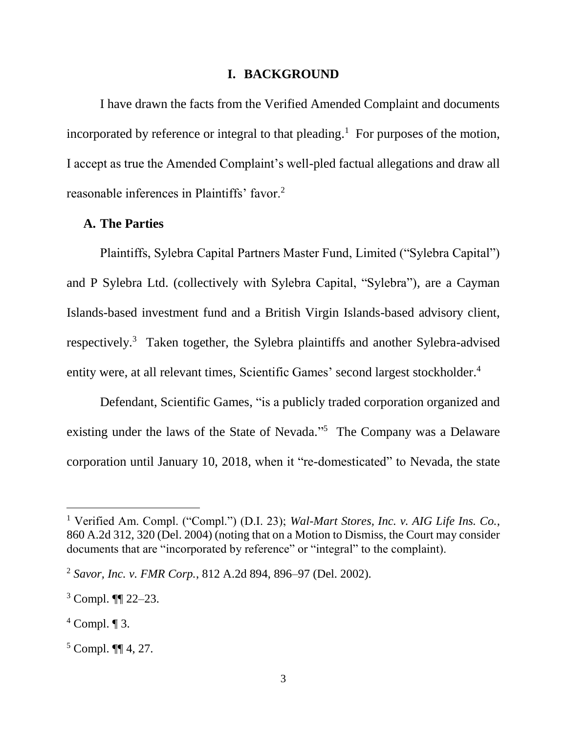#### **I. BACKGROUND**

I have drawn the facts from the Verified Amended Complaint and documents incorporated by reference or integral to that pleading.<sup>1</sup> For purposes of the motion, I accept as true the Amended Complaint's well-pled factual allegations and draw all reasonable inferences in Plaintiffs' favor.<sup>2</sup>

#### **A. The Parties**

Plaintiffs, Sylebra Capital Partners Master Fund, Limited ("Sylebra Capital") and P Sylebra Ltd. (collectively with Sylebra Capital, "Sylebra"), are a Cayman Islands-based investment fund and a British Virgin Islands-based advisory client, respectively.<sup>3</sup> Taken together, the Sylebra plaintiffs and another Sylebra-advised entity were, at all relevant times, Scientific Games' second largest stockholder.<sup>4</sup>

Defendant, Scientific Games, "is a publicly traded corporation organized and existing under the laws of the State of Nevada."<sup>5</sup> The Company was a Delaware corporation until January 10, 2018, when it "re-domesticated" to Nevada, the state

<sup>1</sup> Verified Am. Compl. ("Compl.") (D.I. 23); *Wal-Mart Stores, Inc. v. AIG Life Ins. Co.*, 860 A.2d 312, 320 (Del. 2004) (noting that on a Motion to Dismiss, the Court may consider documents that are "incorporated by reference" or "integral" to the complaint).

<sup>2</sup> *Savor, Inc. v. FMR Corp.*, 812 A.2d 894, 896–97 (Del. 2002).

 $3$  Compl.  $\P$  22–23.

 $4$  Compl.  $\P$  3.

 $5$  Compl. **[14**, 27.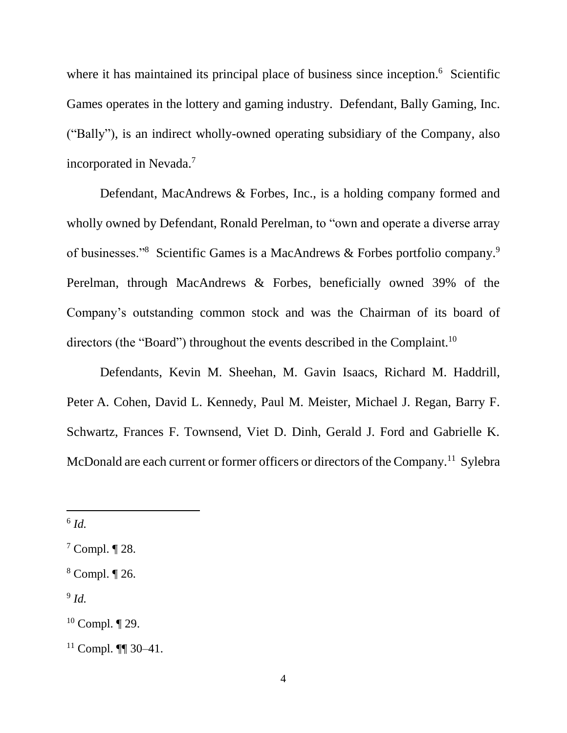where it has maintained its principal place of business since inception.<sup>6</sup> Scientific Games operates in the lottery and gaming industry. Defendant, Bally Gaming, Inc. ("Bally"), is an indirect wholly-owned operating subsidiary of the Company, also incorporated in Nevada.<sup>7</sup>

Defendant, MacAndrews & Forbes, Inc., is a holding company formed and wholly owned by Defendant, Ronald Perelman, to "own and operate a diverse array of businesses."<sup>8</sup> Scientific Games is a MacAndrews & Forbes portfolio company.<sup>9</sup> Perelman, through MacAndrews & Forbes, beneficially owned 39% of the Company's outstanding common stock and was the Chairman of its board of directors (the "Board") throughout the events described in the Complaint.<sup>10</sup>

Defendants, Kevin M. Sheehan, M. Gavin Isaacs, Richard M. Haddrill, Peter A. Cohen, David L. Kennedy, Paul M. Meister, Michael J. Regan, Barry F. Schwartz, Frances F. Townsend, Viet D. Dinh, Gerald J. Ford and Gabrielle K. McDonald are each current or former officers or directors of the Company.<sup>11</sup> Sylebra

l

9 *Id.*

<sup>6</sup> *Id.*

 $7$  Compl.  $\P$  28.

<sup>8</sup> Compl. ¶ 26.

 $10$  Compl.  $\P$  29.

 $11$  Compl. **[1]** 30–41.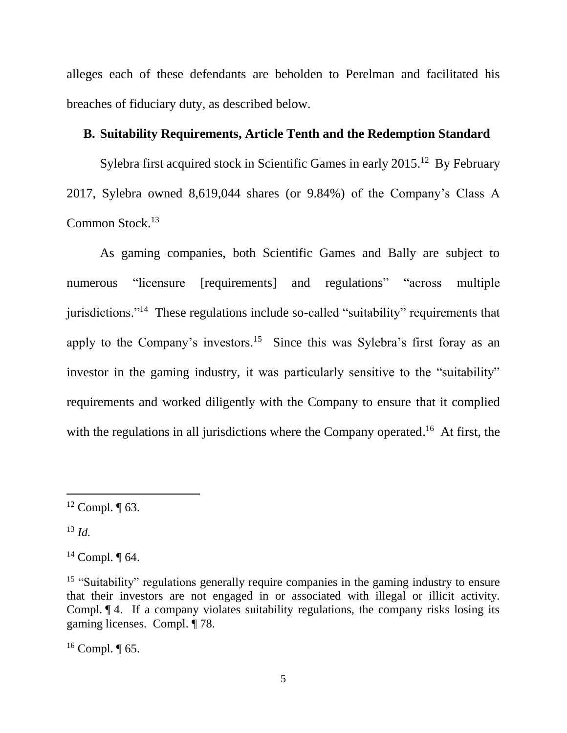alleges each of these defendants are beholden to Perelman and facilitated his breaches of fiduciary duty, as described below.

## **B. Suitability Requirements, Article Tenth and the Redemption Standard**

Sylebra first acquired stock in Scientific Games in early  $2015$ .<sup>12</sup> By February 2017, Sylebra owned 8,619,044 shares (or 9.84%) of the Company's Class A Common Stock.<sup>13</sup>

As gaming companies, both Scientific Games and Bally are subject to numerous "licensure [requirements] and regulations" "across multiple jurisdictions."<sup>14</sup> These regulations include so-called "suitability" requirements that apply to the Company's investors.<sup>15</sup> Since this was Sylebra's first foray as an investor in the gaming industry, it was particularly sensitive to the "suitability" requirements and worked diligently with the Company to ensure that it complied with the regulations in all jurisdictions where the Company operated.<sup>16</sup> At first, the

 $13$  *Id.* 

 $\overline{a}$ 

 $16$  Compl.  $\P$  65.

 $12$  Compl.  $\P$  63.

 $14$  Compl.  $\P$  64.

<sup>&</sup>lt;sup>15</sup> "Suitability" regulations generally require companies in the gaming industry to ensure that their investors are not engaged in or associated with illegal or illicit activity. Compl. ¶ 4. If a company violates suitability regulations, the company risks losing its gaming licenses. Compl. ¶ 78.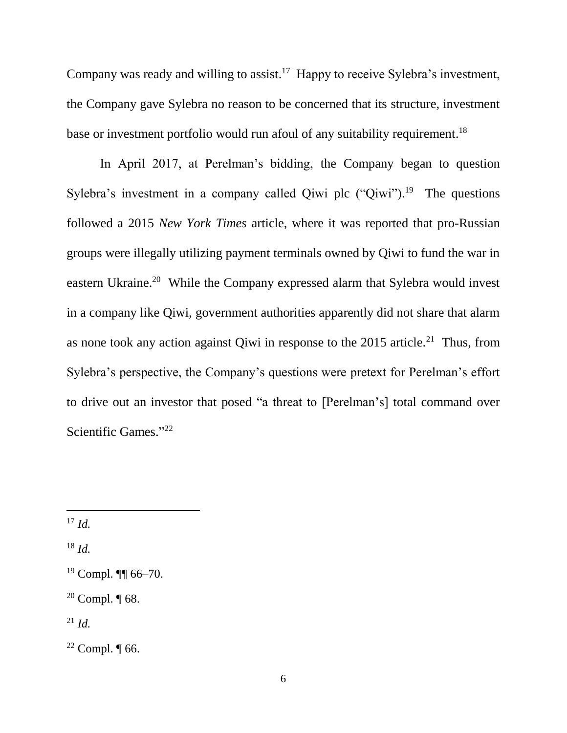Company was ready and willing to assist.<sup>17</sup> Happy to receive Sylebra's investment, the Company gave Sylebra no reason to be concerned that its structure, investment base or investment portfolio would run afoul of any suitability requirement.<sup>18</sup>

In April 2017, at Perelman's bidding, the Company began to question Sylebra's investment in a company called Qiwi plc  $("Qiwi")$ .<sup>19</sup> The questions followed a 2015 *New York Times* article, where it was reported that pro-Russian groups were illegally utilizing payment terminals owned by Qiwi to fund the war in eastern Ukraine.<sup>20</sup> While the Company expressed alarm that Sylebra would invest in a company like Qiwi, government authorities apparently did not share that alarm as none took any action against Qiwi in response to the  $2015$  article.<sup>21</sup> Thus, from Sylebra's perspective, the Company's questions were pretext for Perelman's effort to drive out an investor that posed "a threat to [Perelman's] total command over Scientific Games." 22

l

<sup>18</sup> *Id.*

 $^{21}$  *Id.* 

 $17 \, Id.$ 

 $19$  Compl. III 66-70.

<sup>&</sup>lt;sup>20</sup> Compl.  $\P$  68.

 $22$  Compl.  $\P$  66.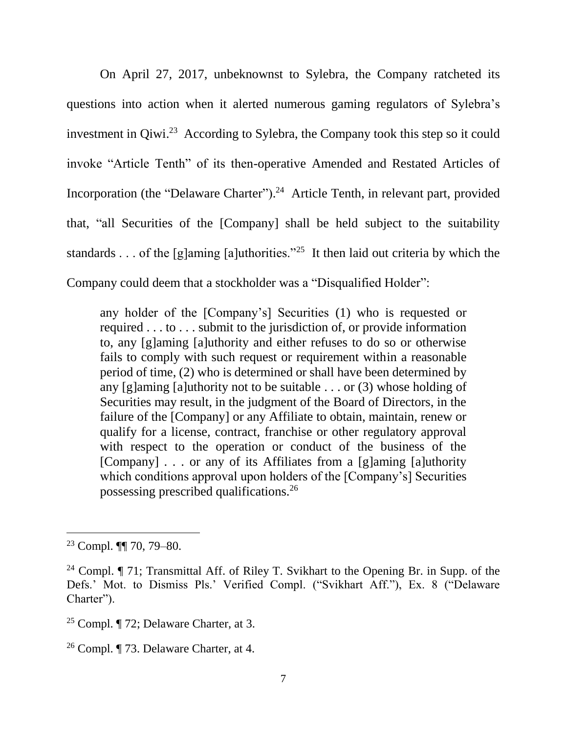On April 27, 2017, unbeknownst to Sylebra, the Company ratcheted its questions into action when it alerted numerous gaming regulators of Sylebra's investment in Qiwi. 23 According to Sylebra, the Company took this step so it could invoke "Article Tenth" of its then-operative Amended and Restated Articles of Incorporation (the "Delaware Charter").<sup>24</sup> Article Tenth, in relevant part, provided that, "all Securities of the [Company] shall be held subject to the suitability standards . . . of the [g]aming [a]uthorities."<sup>25</sup> It then laid out criteria by which the Company could deem that a stockholder was a "Disqualified Holder":

any holder of the [Company's] Securities (1) who is requested or required . . . to . . . submit to the jurisdiction of, or provide information to, any [g]aming [a]uthority and either refuses to do so or otherwise fails to comply with such request or requirement within a reasonable period of time, (2) who is determined or shall have been determined by any [g]aming [a]uthority not to be suitable . . . or (3) whose holding of Securities may result, in the judgment of the Board of Directors, in the failure of the [Company] or any Affiliate to obtain, maintain, renew or qualify for a license, contract, franchise or other regulatory approval with respect to the operation or conduct of the business of the [Company] . . . or any of its Affiliates from a [g]aming [a]uthority which conditions approval upon holders of the [Company's] Securities possessing prescribed qualifications.<sup>26</sup>

<sup>23</sup> Compl. ¶¶ 70, 79–80.

<sup>&</sup>lt;sup>24</sup> Compl.  $\P$  71; Transmittal Aff. of Riley T. Svikhart to the Opening Br. in Supp. of the Defs.' Mot. to Dismiss Pls.' Verified Compl. ("Svikhart Aff."), Ex. 8 ("Delaware Charter").

<sup>25</sup> Compl. ¶ 72; Delaware Charter, at 3.

<sup>26</sup> Compl. ¶ 73. Delaware Charter, at 4.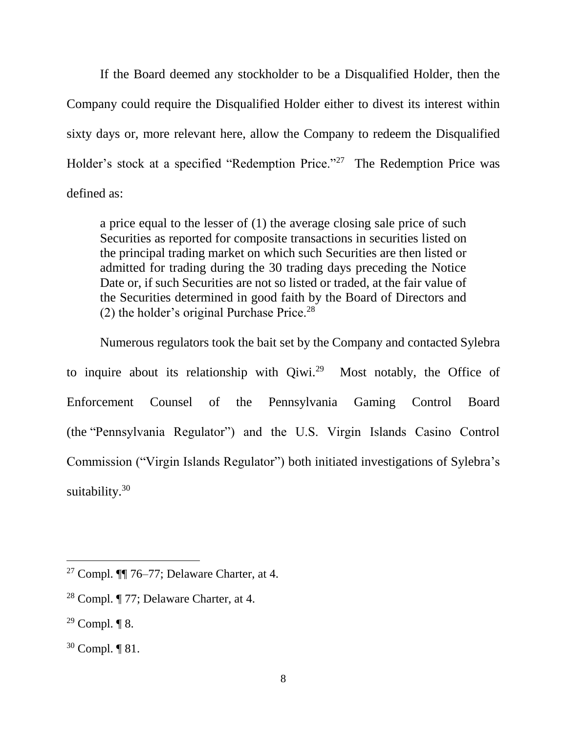If the Board deemed any stockholder to be a Disqualified Holder, then the Company could require the Disqualified Holder either to divest its interest within sixty days or, more relevant here, allow the Company to redeem the Disqualified Holder's stock at a specified "Redemption Price."<sup>27</sup> The Redemption Price was defined as:

a price equal to the lesser of (1) the average closing sale price of such Securities as reported for composite transactions in securities listed on the principal trading market on which such Securities are then listed or admitted for trading during the 30 trading days preceding the Notice Date or, if such Securities are not so listed or traded, at the fair value of the Securities determined in good faith by the Board of Directors and (2) the holder's original Purchase Price. $28$ 

Numerous regulators took the bait set by the Company and contacted Sylebra to inquire about its relationship with  $Q_i$ iwi.<sup>29</sup> Most notably, the Office of Enforcement Counsel of the Pennsylvania Gaming Control Board (the "Pennsylvania Regulator") and the U.S. Virgin Islands Casino Control Commission ("Virgin Islands Regulator") both initiated investigations of Sylebra's suitability.<sup>30</sup>

<sup>&</sup>lt;sup>27</sup> Compl.  $\P$ [ $76-77$ ; Delaware Charter, at 4.

<sup>28</sup> Compl. ¶ 77; Delaware Charter, at 4.

 $29$  Compl.  $\P$  8.

<sup>30</sup> Compl. ¶ 81.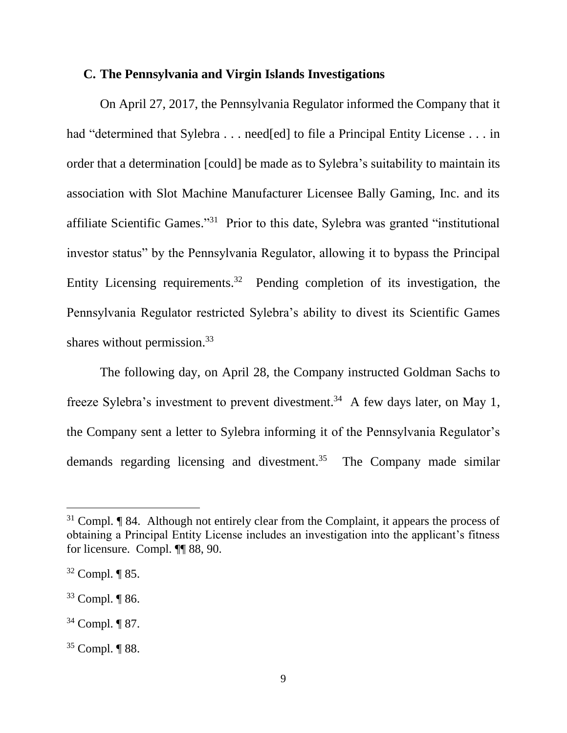### **C. The Pennsylvania and Virgin Islands Investigations**

On April 27, 2017, the Pennsylvania Regulator informed the Company that it had "determined that Sylebra . . . need[ed] to file a Principal Entity License . . . in order that a determination [could] be made as to Sylebra's suitability to maintain its association with Slot Machine Manufacturer Licensee Bally Gaming, Inc. and its affiliate Scientific Games."<sup>31</sup> Prior to this date, Sylebra was granted "institutional investor status" by the Pennsylvania Regulator, allowing it to bypass the Principal Entity Licensing requirements.<sup>32</sup> Pending completion of its investigation, the Pennsylvania Regulator restricted Sylebra's ability to divest its Scientific Games shares without permission.<sup>33</sup>

The following day, on April 28, the Company instructed Goldman Sachs to freeze Sylebra's investment to prevent divestment.<sup>34</sup> A few days later, on May 1, the Company sent a letter to Sylebra informing it of the Pennsylvania Regulator's demands regarding licensing and divestment.<sup>35</sup> The Company made similar

 $31$  Compl. **[84.** Although not entirely clear from the Complaint, it appears the process of obtaining a Principal Entity License includes an investigation into the applicant's fitness for licensure. Compl. ¶¶ 88, 90.

<sup>32</sup> Compl. ¶ 85.

<sup>33</sup> Compl. ¶ 86.

<sup>34</sup> Compl. ¶ 87.

<sup>35</sup> Compl. ¶ 88.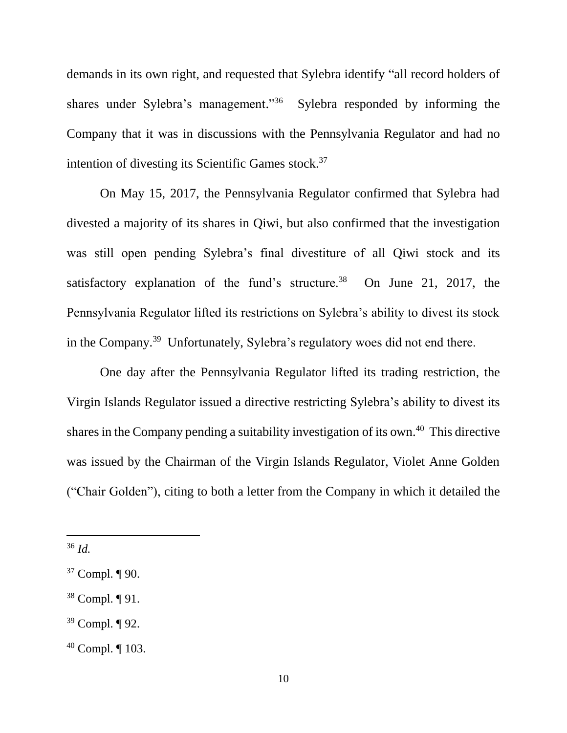demands in its own right, and requested that Sylebra identify "all record holders of shares under Sylebra's management."<sup>36</sup> Sylebra responded by informing the Company that it was in discussions with the Pennsylvania Regulator and had no intention of divesting its Scientific Games stock.<sup>37</sup>

On May 15, 2017, the Pennsylvania Regulator confirmed that Sylebra had divested a majority of its shares in Qiwi, but also confirmed that the investigation was still open pending Sylebra's final divestiture of all Qiwi stock and its satisfactory explanation of the fund's structure.<sup>38</sup> On June 21, 2017, the Pennsylvania Regulator lifted its restrictions on Sylebra's ability to divest its stock in the Company.<sup>39</sup> Unfortunately, Sylebra's regulatory woes did not end there.

One day after the Pennsylvania Regulator lifted its trading restriction, the Virgin Islands Regulator issued a directive restricting Sylebra's ability to divest its shares in the Company pending a suitability investigation of its own.<sup>40</sup> This directive was issued by the Chairman of the Virgin Islands Regulator, Violet Anne Golden ("Chair Golden"), citing to both a letter from the Company in which it detailed the

l

<sup>39</sup> Compl. ¶ 92.

<sup>36</sup> *Id.*

<sup>37</sup> Compl. ¶ 90.

<sup>38</sup> Compl. ¶ 91.

<sup>40</sup> Compl. ¶ 103.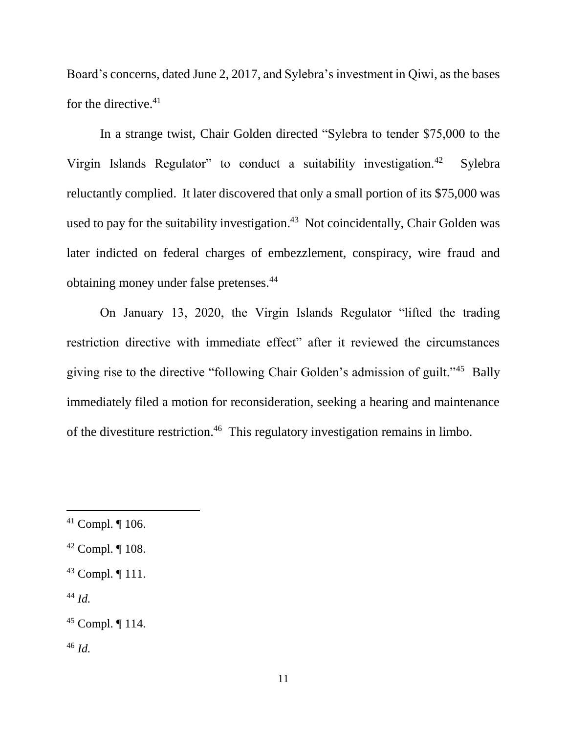Board's concerns, dated June 2, 2017, and Sylebra's investment in Qiwi, as the bases for the directive. $41$ 

In a strange twist, Chair Golden directed "Sylebra to tender \$75,000 to the Virgin Islands Regulator" to conduct a suitability investigation.<sup>42</sup> Sylebra reluctantly complied. It later discovered that only a small portion of its \$75,000 was used to pay for the suitability investigation.<sup>43</sup> Not coincidentally, Chair Golden was later indicted on federal charges of embezzlement, conspiracy, wire fraud and obtaining money under false pretenses.<sup>44</sup>

On January 13, 2020, the Virgin Islands Regulator "lifted the trading restriction directive with immediate effect" after it reviewed the circumstances giving rise to the directive "following Chair Golden's admission of guilt."<sup>45</sup> Bally immediately filed a motion for reconsideration, seeking a hearing and maintenance of the divestiture restriction.<sup>46</sup> This regulatory investigation remains in limbo.

<sup>44</sup> *Id.*

l

<sup>46</sup> *Id.* 

<sup>41</sup> Compl. ¶ 106.

 $42$  Compl.  $\P$  108.

<sup>43</sup> Compl. ¶ 111.

<sup>45</sup> Compl. ¶ 114.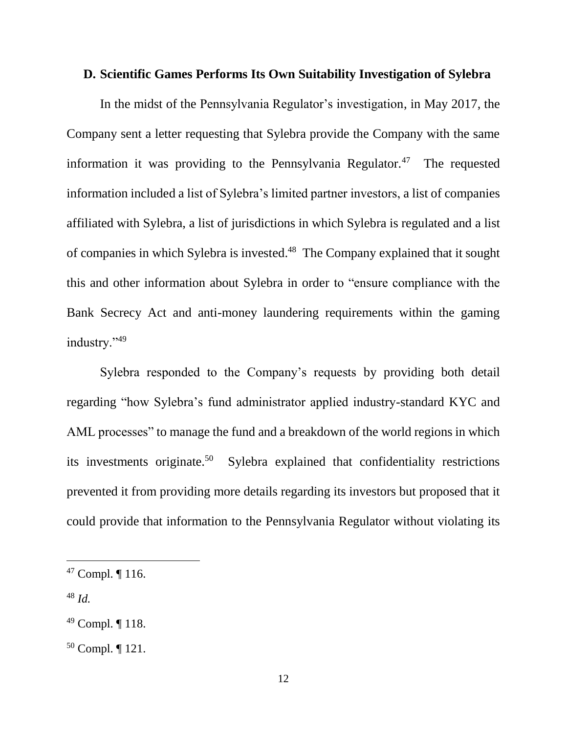### **D. Scientific Games Performs Its Own Suitability Investigation of Sylebra**

In the midst of the Pennsylvania Regulator's investigation, in May 2017, the Company sent a letter requesting that Sylebra provide the Company with the same information it was providing to the Pennsylvania Regulator.<sup>47</sup> The requested information included a list of Sylebra's limited partner investors, a list of companies affiliated with Sylebra, a list of jurisdictions in which Sylebra is regulated and a list of companies in which Sylebra is invested. 48 The Company explained that it sought this and other information about Sylebra in order to "ensure compliance with the Bank Secrecy Act and anti-money laundering requirements within the gaming industry."49

Sylebra responded to the Company's requests by providing both detail regarding "how Sylebra's fund administrator applied industry-standard KYC and AML processes" to manage the fund and a breakdown of the world regions in which its investments originate.<sup>50</sup> Sylebra explained that confidentiality restrictions prevented it from providing more details regarding its investors but proposed that it could provide that information to the Pennsylvania Regulator without violating its

<sup>47</sup> Compl. ¶ 116.

<sup>48</sup> *Id.*

<sup>49</sup> Compl. ¶ 118.

<sup>50</sup> Compl. ¶ 121.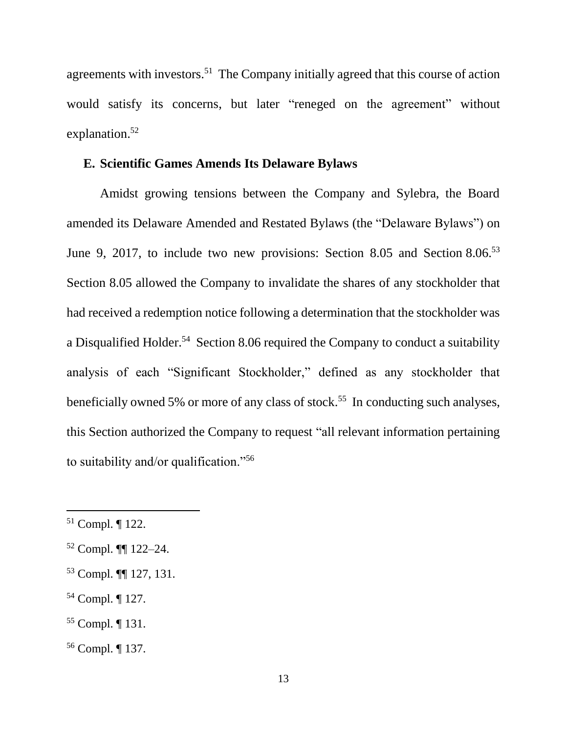agreements with investors.<sup>51</sup> The Company initially agreed that this course of action would satisfy its concerns, but later "reneged on the agreement" without explanation. 52

### **E. Scientific Games Amends Its Delaware Bylaws**

Amidst growing tensions between the Company and Sylebra, the Board amended its Delaware Amended and Restated Bylaws (the "Delaware Bylaws") on June 9, 2017, to include two new provisions: Section 8.05 and Section 8.06.<sup>53</sup> Section 8.05 allowed the Company to invalidate the shares of any stockholder that had received a redemption notice following a determination that the stockholder was a Disqualified Holder.<sup>54</sup> Section 8.06 required the Company to conduct a suitability analysis of each "Significant Stockholder," defined as any stockholder that beneficially owned 5% or more of any class of stock.<sup>55</sup> In conducting such analyses, this Section authorized the Company to request "all relevant information pertaining to suitability and/or qualification."<sup>56</sup>

- <sup>54</sup> Compl. ¶ 127.
- <sup>55</sup> Compl. ¶ 131.
- <sup>56</sup> Compl. ¶ 137.

<sup>51</sup> Compl. ¶ 122.

<sup>52</sup> Compl. ¶¶ 122–24.

<sup>53</sup> Compl. ¶¶ 127, 131.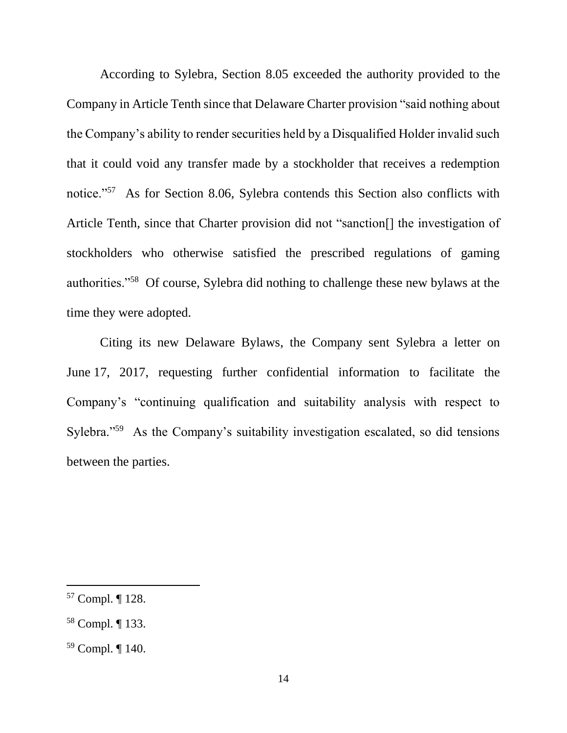According to Sylebra, Section 8.05 exceeded the authority provided to the Company in Article Tenth since that Delaware Charter provision "said nothing about the Company's ability to render securities held by a Disqualified Holder invalid such that it could void any transfer made by a stockholder that receives a redemption notice."<sup>57</sup> As for Section 8.06, Sylebra contends this Section also conflicts with Article Tenth, since that Charter provision did not "sanction[] the investigation of stockholders who otherwise satisfied the prescribed regulations of gaming authorities."<sup>58</sup> Of course, Sylebra did nothing to challenge these new bylaws at the time they were adopted.

Citing its new Delaware Bylaws, the Company sent Sylebra a letter on June 17, 2017, requesting further confidential information to facilitate the Company's "continuing qualification and suitability analysis with respect to Sylebra."<sup>59</sup> As the Company's suitability investigation escalated, so did tensions between the parties.

<sup>57</sup> Compl. ¶ 128.

<sup>58</sup> Compl. ¶ 133.

<sup>59</sup> Compl. ¶ 140.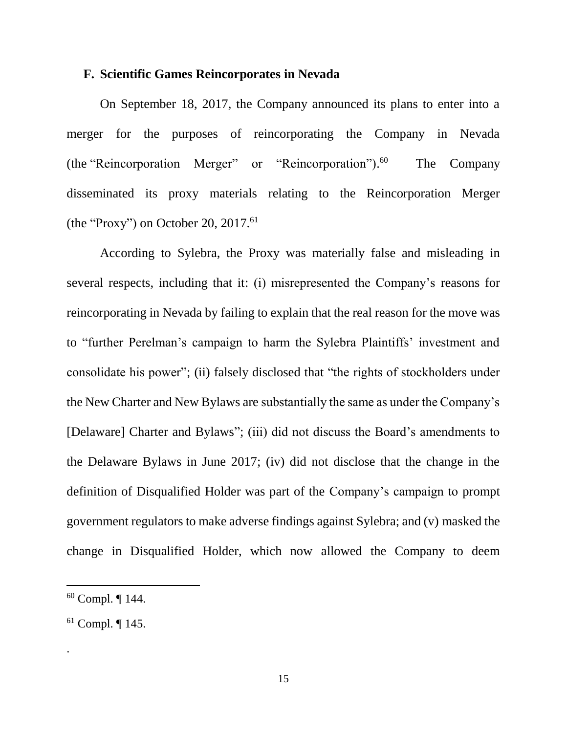### **F. Scientific Games Reincorporates in Nevada**

On September 18, 2017, the Company announced its plans to enter into a merger for the purposes of reincorporating the Company in Nevada (the "Reincorporation Merger" or "Reincorporation").<sup>60</sup> The Company disseminated its proxy materials relating to the Reincorporation Merger (the "Proxy") on October 20,  $2017$ .<sup>61</sup>

According to Sylebra, the Proxy was materially false and misleading in several respects, including that it: (i) misrepresented the Company's reasons for reincorporating in Nevada by failing to explain that the real reason for the move was to "further Perelman's campaign to harm the Sylebra Plaintiffs' investment and consolidate his power"; (ii) falsely disclosed that "the rights of stockholders under the New Charter and New Bylaws are substantially the same as under the Company's [Delaware] Charter and Bylaws"; (iii) did not discuss the Board's amendments to the Delaware Bylaws in June 2017; (iv) did not disclose that the change in the definition of Disqualified Holder was part of the Company's campaign to prompt government regulators to make adverse findings against Sylebra; and (v) masked the change in Disqualified Holder, which now allowed the Company to deem

 $\overline{a}$ 

.

 $60$  Compl.  $\P$  144.

 $61$  Compl.  $\P$  145.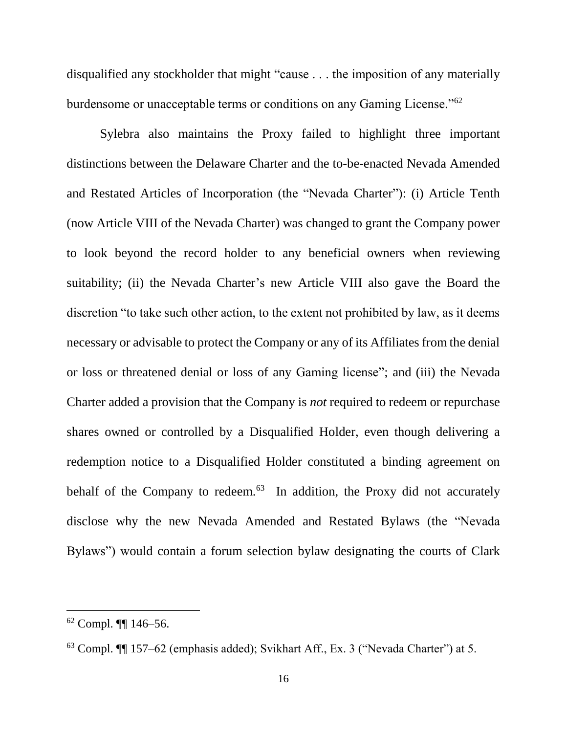disqualified any stockholder that might "cause . . . the imposition of any materially burdensome or unacceptable terms or conditions on any Gaming License."<sup>62</sup>

Sylebra also maintains the Proxy failed to highlight three important distinctions between the Delaware Charter and the to-be-enacted Nevada Amended and Restated Articles of Incorporation (the "Nevada Charter"): (i) Article Tenth (now Article VIII of the Nevada Charter) was changed to grant the Company power to look beyond the record holder to any beneficial owners when reviewing suitability; (ii) the Nevada Charter's new Article VIII also gave the Board the discretion "to take such other action, to the extent not prohibited by law, as it deems necessary or advisable to protect the Company or any of its Affiliates from the denial or loss or threatened denial or loss of any Gaming license"; and (iii) the Nevada Charter added a provision that the Company is *not* required to redeem or repurchase shares owned or controlled by a Disqualified Holder, even though delivering a redemption notice to a Disqualified Holder constituted a binding agreement on behalf of the Company to redeem. $63$  In addition, the Proxy did not accurately disclose why the new Nevada Amended and Restated Bylaws (the "Nevada Bylaws") would contain a forum selection bylaw designating the courts of Clark

<sup>62</sup> Compl. ¶¶ 146–56.

<sup>63</sup> Compl. ¶¶ 157–62 (emphasis added); Svikhart Aff., Ex. 3 ("Nevada Charter") at 5.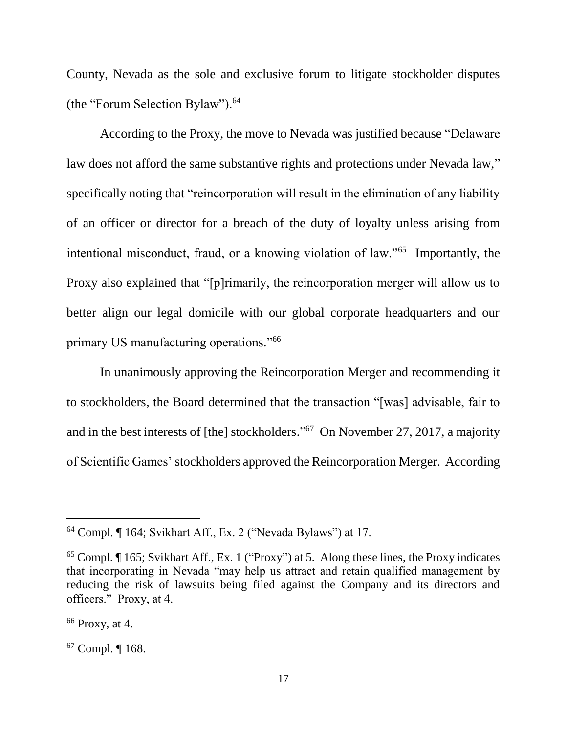County, Nevada as the sole and exclusive forum to litigate stockholder disputes (the "Forum Selection Bylaw"). 64

According to the Proxy, the move to Nevada was justified because "Delaware law does not afford the same substantive rights and protections under Nevada law," specifically noting that "reincorporation will result in the elimination of any liability of an officer or director for a breach of the duty of loyalty unless arising from intentional misconduct, fraud, or a knowing violation of law."<sup>65</sup> Importantly, the Proxy also explained that "[p]rimarily, the reincorporation merger will allow us to better align our legal domicile with our global corporate headquarters and our primary US manufacturing operations."<sup>66</sup>

In unanimously approving the Reincorporation Merger and recommending it to stockholders, the Board determined that the transaction "[was] advisable, fair to and in the best interests of [the] stockholders."<sup>67</sup> On November 27, 2017, a majority of Scientific Games' stockholders approved the Reincorporation Merger. According

<sup>64</sup> Compl. ¶ 164; Svikhart Aff., Ex. 2 ("Nevada Bylaws") at 17.

 $65$  Compl.  $\P$  165; Svikhart Aff., Ex. 1 ("Proxy") at 5. Along these lines, the Proxy indicates that incorporating in Nevada "may help us attract and retain qualified management by reducing the risk of lawsuits being filed against the Company and its directors and officers." Proxy, at 4.

 $66$  Proxy, at 4.

<sup>67</sup> Compl. ¶ 168.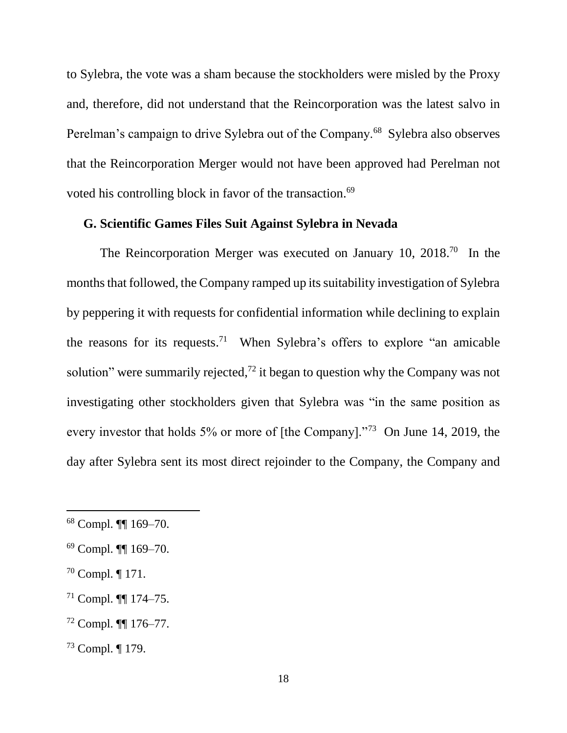to Sylebra, the vote was a sham because the stockholders were misled by the Proxy and, therefore, did not understand that the Reincorporation was the latest salvo in Perelman's campaign to drive Sylebra out of the Company.<sup>68</sup> Sylebra also observes that the Reincorporation Merger would not have been approved had Perelman not voted his controlling block in favor of the transaction. 69

## **G. Scientific Games Files Suit Against Sylebra in Nevada**

The Reincorporation Merger was executed on January 10,  $2018$ <sup>70</sup> In the months that followed, the Company ramped up its suitability investigation of Sylebra by peppering it with requests for confidential information while declining to explain the reasons for its requests.<sup>71</sup> When Sylebra's offers to explore "an amicable solution" were summarily rejected,<sup>72</sup> it began to question why the Company was not investigating other stockholders given that Sylebra was "in the same position as every investor that holds 5% or more of [the Company]."<sup>73</sup> On June 14, 2019, the day after Sylebra sent its most direct rejoinder to the Company, the Company and

<sup>70</sup> Compl. ¶ 171.

- $71$  Compl.  $\P\P$  174–75.
- <sup>72</sup> Compl. ¶¶ 176–77.

<sup>68</sup> Compl. ¶¶ 169–70.

<sup>69</sup> Compl. ¶¶ 169–70.

<sup>73</sup> Compl. ¶ 179.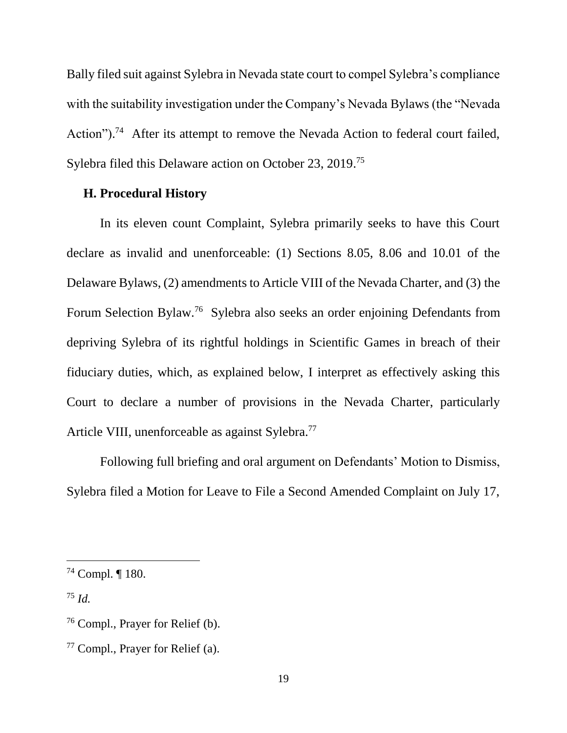Bally filed suit against Sylebra in Nevada state court to compel Sylebra's compliance with the suitability investigation under the Company's Nevada Bylaws (the "Nevada Action").<sup>74</sup> After its attempt to remove the Nevada Action to federal court failed, Sylebra filed this Delaware action on October 23, 2019.<sup>75</sup>

### **H. Procedural History**

In its eleven count Complaint, Sylebra primarily seeks to have this Court declare as invalid and unenforceable: (1) Sections 8.05, 8.06 and 10.01 of the Delaware Bylaws, (2) amendments to Article VIII of the Nevada Charter, and (3) the Forum Selection Bylaw.<sup>76</sup> Sylebra also seeks an order enjoining Defendants from depriving Sylebra of its rightful holdings in Scientific Games in breach of their fiduciary duties, which, as explained below, I interpret as effectively asking this Court to declare a number of provisions in the Nevada Charter, particularly Article VIII, unenforceable as against Sylebra.<sup>77</sup>

Following full briefing and oral argument on Defendants' Motion to Dismiss, Sylebra filed a Motion for Leave to File a Second Amended Complaint on July 17,

<sup>75</sup> *Id.*

<sup>74</sup> Compl. ¶ 180.

<sup>76</sup> Compl., Prayer for Relief (b).

<sup>77</sup> Compl., Prayer for Relief (a).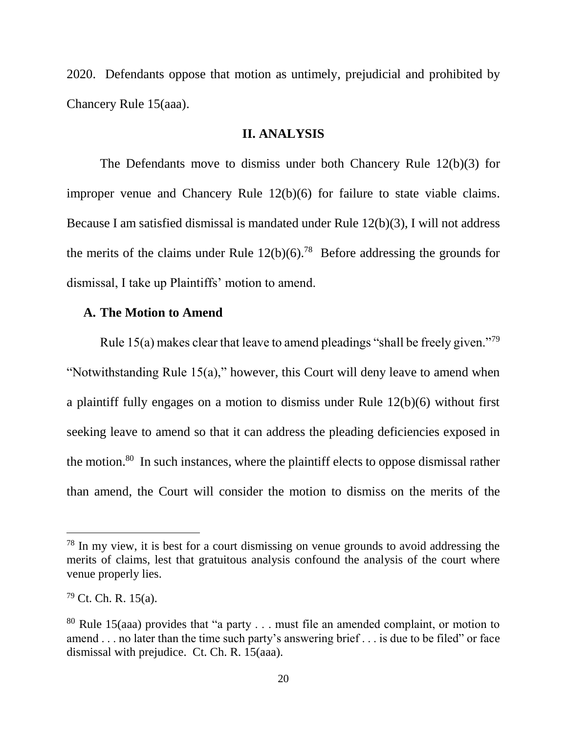2020. Defendants oppose that motion as untimely, prejudicial and prohibited by Chancery Rule 15(aaa).

### **II. ANALYSIS**

The Defendants move to dismiss under both Chancery Rule 12(b)(3) for improper venue and Chancery Rule 12(b)(6) for failure to state viable claims. Because I am satisfied dismissal is mandated under Rule 12(b)(3), I will not address the merits of the claims under Rule  $12(b)(6)$ .<sup>78</sup> Before addressing the grounds for dismissal, I take up Plaintiffs' motion to amend.

### **A. The Motion to Amend**

Rule 15(a) makes clear that leave to amend pleadings "shall be freely given."<sup>79</sup> "Notwithstanding Rule 15(a)," however, this Court will deny leave to amend when a plaintiff fully engages on a motion to dismiss under Rule 12(b)(6) without first seeking leave to amend so that it can address the pleading deficiencies exposed in the motion.<sup>80</sup> In such instances, where the plaintiff elects to oppose dismissal rather than amend, the Court will consider the motion to dismiss on the merits of the

<sup>&</sup>lt;sup>78</sup> In my view, it is best for a court dismissing on venue grounds to avoid addressing the merits of claims, lest that gratuitous analysis confound the analysis of the court where venue properly lies.

 $79$  Ct. Ch. R. 15(a).

<sup>&</sup>lt;sup>80</sup> Rule 15(aaa) provides that "a party . . . must file an amended complaint, or motion to amend . . . no later than the time such party's answering brief . . . is due to be filed" or face dismissal with prejudice. Ct. Ch. R. 15(aaa).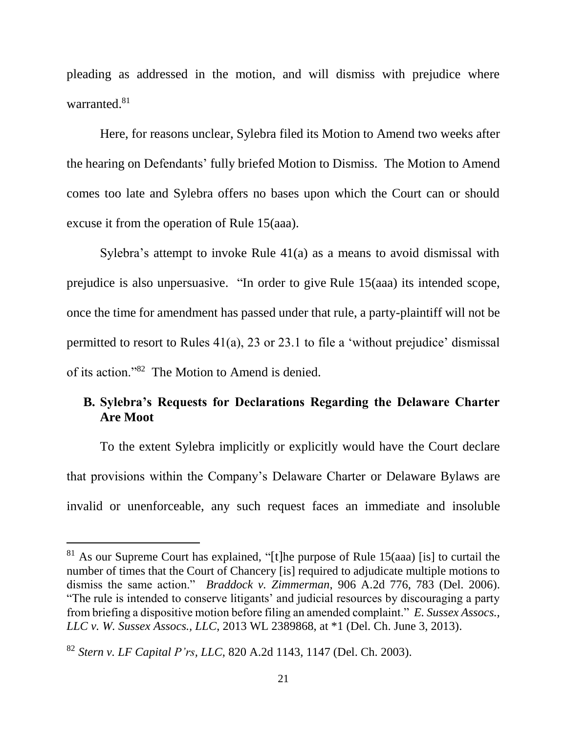pleading as addressed in the motion, and will dismiss with prejudice where warranted.<sup>81</sup>

Here, for reasons unclear, Sylebra filed its Motion to Amend two weeks after the hearing on Defendants' fully briefed Motion to Dismiss. The Motion to Amend comes too late and Sylebra offers no bases upon which the Court can or should excuse it from the operation of Rule 15(aaa).

Sylebra's attempt to invoke Rule 41(a) as a means to avoid dismissal with prejudice is also unpersuasive. "In order to give Rule 15(aaa) its intended scope, once the time for amendment has passed under that rule, a party-plaintiff will not be permitted to resort to Rules 41(a), 23 or 23.1 to file a 'without prejudice' dismissal of its action."<sup>82</sup> The Motion to Amend is denied.

# **B. Sylebra's Requests for Declarations Regarding the Delaware Charter Are Moot**

To the extent Sylebra implicitly or explicitly would have the Court declare that provisions within the Company's Delaware Charter or Delaware Bylaws are invalid or unenforceable, any such request faces an immediate and insoluble

 $81$  As our Supreme Court has explained, "[t]he purpose of Rule 15(aaa) [is] to curtail the number of times that the Court of Chancery [is] required to adjudicate multiple motions to dismiss the same action." *Braddock v. Zimmerman*, 906 A.2d 776, 783 (Del. 2006). "The rule is intended to conserve litigants' and judicial resources by discouraging a party from briefing a dispositive motion before filing an amended complaint." *E. Sussex Assocs., LLC v. W. Sussex Assocs., LLC*, 2013 WL 2389868, at \*1 (Del. Ch. June 3, 2013).

<sup>82</sup> *Stern v. LF Capital P'rs, LLC*, 820 A.2d 1143, 1147 (Del. Ch. 2003).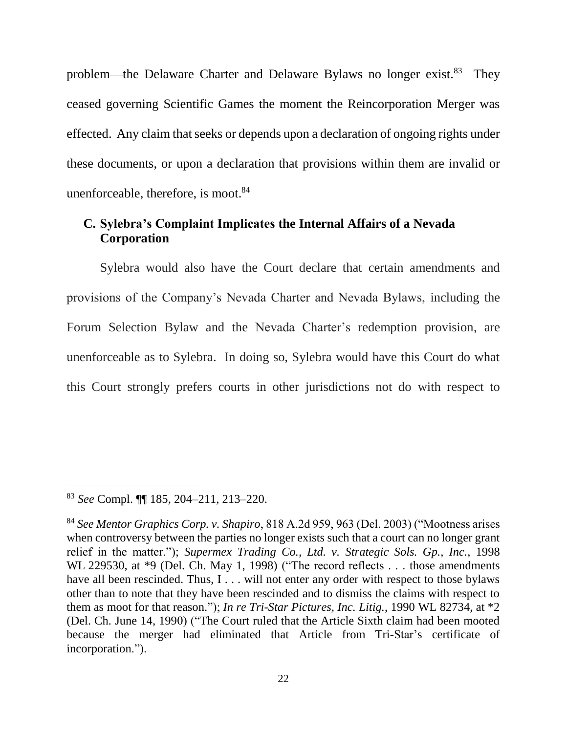problem—the Delaware Charter and Delaware Bylaws no longer exist.<sup>83</sup> They ceased governing Scientific Games the moment the Reincorporation Merger was effected. Any claim that seeks or depends upon a declaration of ongoing rights under these documents, or upon a declaration that provisions within them are invalid or unenforceable, therefore, is moot.<sup>84</sup>

## **C. Sylebra's Complaint Implicates the Internal Affairs of a Nevada Corporation**

Sylebra would also have the Court declare that certain amendments and provisions of the Company's Nevada Charter and Nevada Bylaws, including the Forum Selection Bylaw and the Nevada Charter's redemption provision, are unenforceable as to Sylebra. In doing so, Sylebra would have this Court do what this Court strongly prefers courts in other jurisdictions not do with respect to

<sup>83</sup> *See* Compl. ¶¶ 185, 204–211, 213–220.

<sup>84</sup> *See Mentor Graphics Corp. v. Shapiro*, 818 A.2d 959, 963 (Del. 2003) ("Mootness arises when controversy between the parties no longer exists such that a court can no longer grant relief in the matter."); *Supermex Trading Co., Ltd. v. Strategic Sols. Gp., Inc.*, 1998 WL 229530, at  $*9$  (Del. Ch. May 1, 1998) ("The record reflects . . . those amendments have all been rescinded. Thus, I . . . will not enter any order with respect to those bylaws other than to note that they have been rescinded and to dismiss the claims with respect to them as moot for that reason."); *In re Tri-Star Pictures, Inc. Litig.*, 1990 WL 82734, at \*2 (Del. Ch. June 14, 1990) ("The Court ruled that the Article Sixth claim had been mooted because the merger had eliminated that Article from Tri-Star's certificate of incorporation.").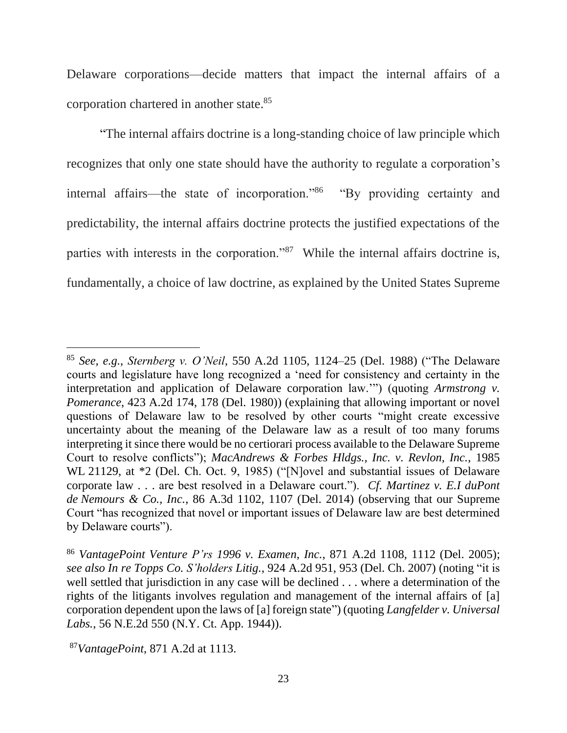Delaware corporations—decide matters that impact the internal affairs of a corporation chartered in another state.<sup>85</sup>

"The internal affairs doctrine is a long-standing choice of law principle which recognizes that only one state should have the authority to regulate a corporation's internal affairs—the state of incorporation."<sup>86</sup> "By providing certainty and predictability, the internal affairs doctrine protects the justified expectations of the parties with interests in the corporation."<sup>87</sup> While the internal affairs doctrine is, fundamentally, a choice of law doctrine, as explained by the United States Supreme

<sup>85</sup> *See, e.g.*, *Sternberg v. O'Neil*, 550 A.2d 1105, 1124–25 (Del. 1988) ("The Delaware courts and legislature have long recognized a 'need for consistency and certainty in the interpretation and application of Delaware corporation law.'") (quoting *Armstrong v. Pomerance*, 423 A.2d 174, 178 (Del. 1980)) (explaining that allowing important or novel questions of Delaware law to be resolved by other courts "might create excessive uncertainty about the meaning of the Delaware law as a result of too many forums interpreting it since there would be no certiorari process available to the Delaware Supreme Court to resolve conflicts"); *MacAndrews & Forbes Hldgs., Inc. v. Revlon, Inc.*, 1985 WL 21129, at \*2 (Del. Ch. Oct. 9, 1985) ("[N]ovel and substantial issues of Delaware corporate law . . . are best resolved in a Delaware court."). *Cf. Martinez v. E.I duPont de Nemours & Co., Inc.*, 86 A.3d 1102, 1107 (Del. 2014) (observing that our Supreme Court "has recognized that novel or important issues of Delaware law are best determined by Delaware courts").

<sup>86</sup> *VantagePoint Venture P'rs 1996 v. Examen, Inc.*, 871 A.2d 1108, 1112 (Del. 2005); *see also In re Topps Co. S'holders Litig.*, 924 A.2d 951, 953 (Del. Ch. 2007) (noting "it is well settled that jurisdiction in any case will be declined . . . where a determination of the rights of the litigants involves regulation and management of the internal affairs of [a] corporation dependent upon the laws of [a] foreign state") (quoting *Langfelder v. Universal Labs.*, 56 N.E.2d 550 (N.Y. Ct. App. 1944)).

<sup>87</sup>*VantagePoint*, 871 A.2d at 1113.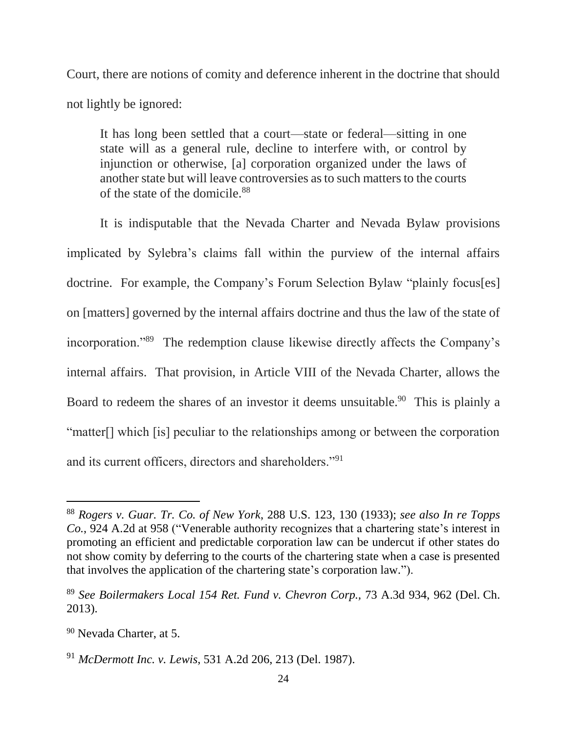Court, there are notions of comity and deference inherent in the doctrine that should not lightly be ignored:

It has long been settled that a court—state or federal—sitting in one state will as a general rule, decline to interfere with, or control by injunction or otherwise, [a] corporation organized under the laws of another state but will leave controversies as to such matters to the courts of the state of the domicile.<sup>88</sup>

It is indisputable that the Nevada Charter and Nevada Bylaw provisions implicated by Sylebra's claims fall within the purview of the internal affairs doctrine. For example, the Company's Forum Selection Bylaw "plainly focus[es] on [matters] governed by the internal affairs doctrine and thus the law of the state of incorporation."<sup>89</sup> The redemption clause likewise directly affects the Company's internal affairs. That provision, in Article VIII of the Nevada Charter, allows the Board to redeem the shares of an investor it deems unsuitable.<sup>90</sup> This is plainly a "matter[] which [is] peculiar to the relationships among or between the corporation and its current officers, directors and shareholders."<sup>91</sup>

<sup>88</sup> *Rogers v. Guar. Tr. Co. of New York*, 288 U.S. 123, 130 (1933); *see also In re Topps Co.*, 924 A.2d at 958 ("Venerable authority recognizes that a chartering state's interest in promoting an efficient and predictable corporation law can be undercut if other states do not show comity by deferring to the courts of the chartering state when a case is presented that involves the application of the chartering state's corporation law.").

<sup>89</sup> *See Boilermakers Local 154 Ret. Fund v. Chevron Corp.,* 73 A.3d 934, 962 (Del. Ch. 2013).

<sup>90</sup> Nevada Charter, at 5.

<sup>91</sup> *McDermott Inc. v. Lewis*, 531 A.2d 206, 213 (Del. 1987).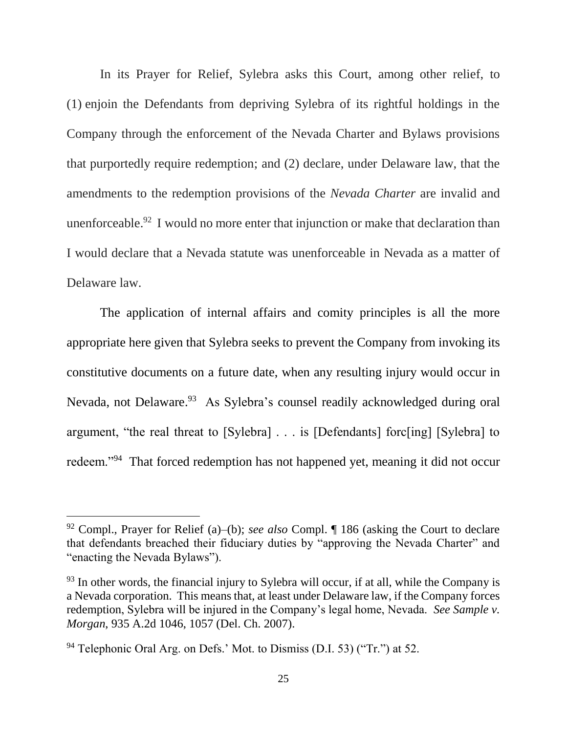In its Prayer for Relief, Sylebra asks this Court, among other relief, to (1) enjoin the Defendants from depriving Sylebra of its rightful holdings in the Company through the enforcement of the Nevada Charter and Bylaws provisions that purportedly require redemption; and (2) declare, under Delaware law, that the amendments to the redemption provisions of the *Nevada Charter* are invalid and unenforceable.<sup>92</sup> I would no more enter that injunction or make that declaration than I would declare that a Nevada statute was unenforceable in Nevada as a matter of Delaware law.

The application of internal affairs and comity principles is all the more appropriate here given that Sylebra seeks to prevent the Company from invoking its constitutive documents on a future date, when any resulting injury would occur in Nevada, not Delaware.<sup>93</sup> As Sylebra's counsel readily acknowledged during oral argument, "the real threat to [Sylebra] . . . is [Defendants] forc[ing] [Sylebra] to redeem."<sup>94</sup> That forced redemption has not happened yet, meaning it did not occur

<sup>92</sup> Compl., Prayer for Relief (a)–(b); *see also* Compl. ¶ 186 (asking the Court to declare that defendants breached their fiduciary duties by "approving the Nevada Charter" and "enacting the Nevada Bylaws").

 $93$  In other words, the financial injury to Sylebra will occur, if at all, while the Company is a Nevada corporation. This means that, at least under Delaware law, if the Company forces redemption, Sylebra will be injured in the Company's legal home, Nevada. *See Sample v. Morgan*, 935 A.2d 1046, 1057 (Del. Ch. 2007).

<sup>&</sup>lt;sup>94</sup> Telephonic Oral Arg. on Defs.' Mot. to Dismiss (D.I. 53) ("Tr.") at 52.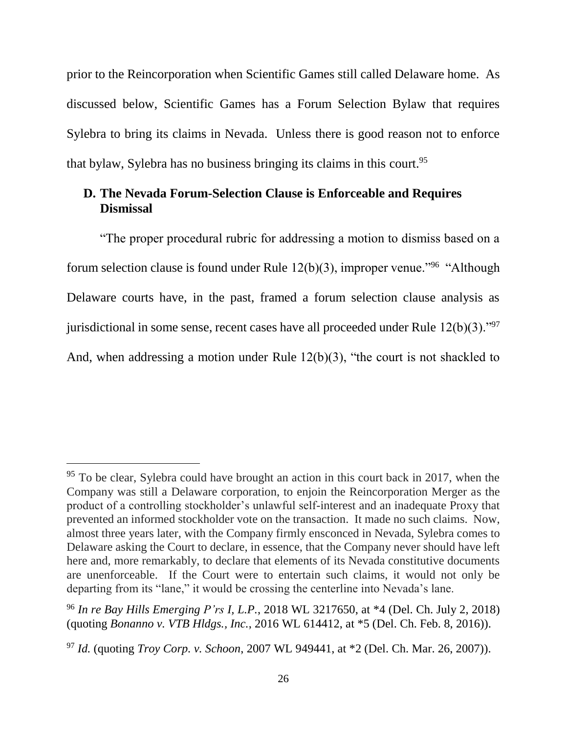prior to the Reincorporation when Scientific Games still called Delaware home. As discussed below, Scientific Games has a Forum Selection Bylaw that requires Sylebra to bring its claims in Nevada. Unless there is good reason not to enforce that bylaw, Sylebra has no business bringing its claims in this court.<sup>95</sup>

## **D. The Nevada Forum-Selection Clause is Enforceable and Requires Dismissal**

"The proper procedural rubric for addressing a motion to dismiss based on a forum selection clause is found under Rule  $12(b)(3)$ , improper venue."<sup>96</sup> "Although Delaware courts have, in the past, framed a forum selection clause analysis as jurisdictional in some sense, recent cases have all proceeded under Rule  $12(b)(3)$ ."<sup>97</sup> And, when addressing a motion under Rule 12(b)(3), "the court is not shackled to

<sup>&</sup>lt;sup>95</sup> To be clear, Sylebra could have brought an action in this court back in 2017, when the Company was still a Delaware corporation, to enjoin the Reincorporation Merger as the product of a controlling stockholder's unlawful self-interest and an inadequate Proxy that prevented an informed stockholder vote on the transaction. It made no such claims. Now, almost three years later, with the Company firmly ensconced in Nevada, Sylebra comes to Delaware asking the Court to declare, in essence, that the Company never should have left here and, more remarkably, to declare that elements of its Nevada constitutive documents are unenforceable. If the Court were to entertain such claims, it would not only be departing from its "lane," it would be crossing the centerline into Nevada's lane.

<sup>96</sup> *In re Bay Hills Emerging P'rs I, L.P.*, 2018 WL 3217650, at \*4 (Del. Ch. July 2, 2018) (quoting *Bonanno v. VTB Hldgs., Inc.*, 2016 WL 614412, at \*5 (Del. Ch. Feb. 8, 2016)).

<sup>97</sup> *Id.* (quoting *Troy Corp. v. Schoon*, 2007 WL 949441, at \*2 (Del. Ch. Mar. 26, 2007)).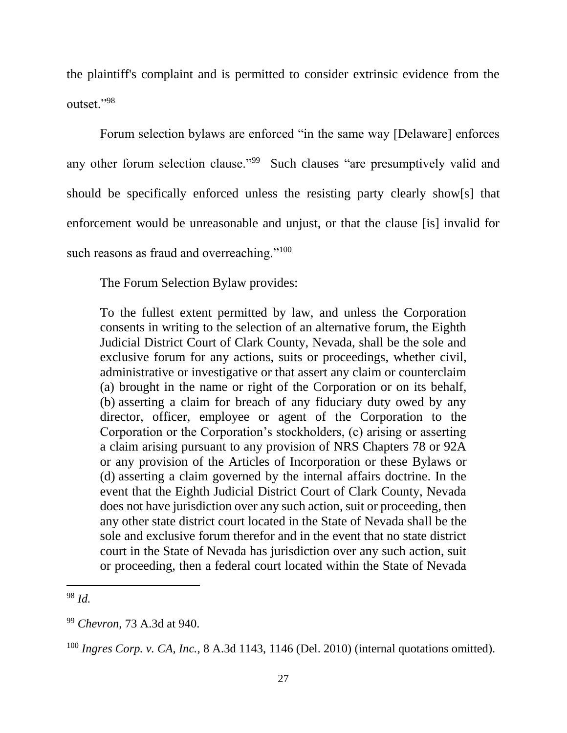the plaintiff's complaint and is permitted to consider extrinsic evidence from the outset."<sup>98</sup>

Forum selection bylaws are enforced "in the same way [Delaware] enforces any other forum selection clause."<sup>99</sup> Such clauses "are presumptively valid and should be specifically enforced unless the resisting party clearly show[s] that enforcement would be unreasonable and unjust, or that the clause [is] invalid for such reasons as fraud and overreaching."<sup>100</sup>

The Forum Selection Bylaw provides:

To the fullest extent permitted by law, and unless the Corporation consents in writing to the selection of an alternative forum, the Eighth Judicial District Court of Clark County, Nevada, shall be the sole and exclusive forum for any actions, suits or proceedings, whether civil, administrative or investigative or that assert any claim or counterclaim (a) brought in the name or right of the Corporation or on its behalf, (b) asserting a claim for breach of any fiduciary duty owed by any director, officer, employee or agent of the Corporation to the Corporation or the Corporation's stockholders, (c) arising or asserting a claim arising pursuant to any provision of NRS Chapters 78 or 92A or any provision of the Articles of Incorporation or these Bylaws or (d) asserting a claim governed by the internal affairs doctrine. In the event that the Eighth Judicial District Court of Clark County, Nevada does not have jurisdiction over any such action, suit or proceeding, then any other state district court located in the State of Nevada shall be the sole and exclusive forum therefor and in the event that no state district court in the State of Nevada has jurisdiction over any such action, suit or proceeding, then a federal court located within the State of Nevada

<sup>98</sup> *Id.* 

<sup>99</sup> *Chevron*, 73 A.3d at 940.

<sup>100</sup> *Ingres Corp. v. CA, Inc.*, 8 A.3d 1143, 1146 (Del. 2010) (internal quotations omitted).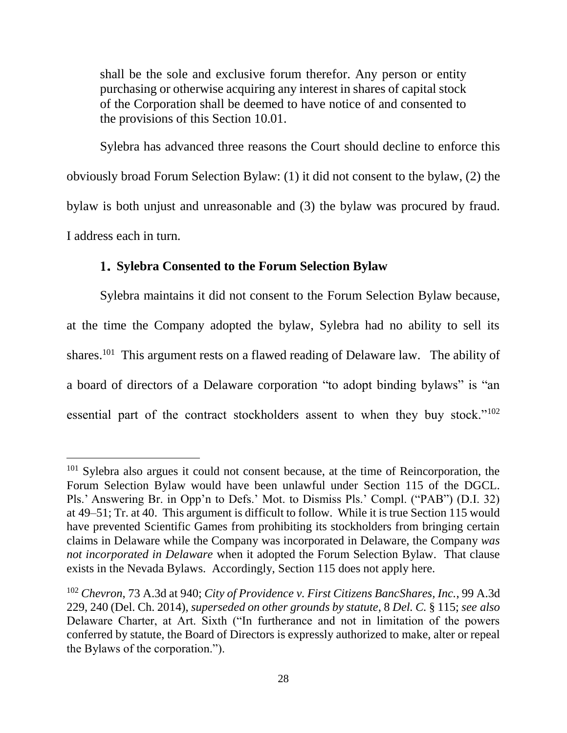shall be the sole and exclusive forum therefor. Any person or entity purchasing or otherwise acquiring any interest in shares of capital stock of the Corporation shall be deemed to have notice of and consented to the provisions of this Section 10.01.

Sylebra has advanced three reasons the Court should decline to enforce this obviously broad Forum Selection Bylaw: (1) it did not consent to the bylaw, (2) the bylaw is both unjust and unreasonable and (3) the bylaw was procured by fraud. I address each in turn.

## **Sylebra Consented to the Forum Selection Bylaw**

l

Sylebra maintains it did not consent to the Forum Selection Bylaw because, at the time the Company adopted the bylaw, Sylebra had no ability to sell its shares.<sup>101</sup> This argument rests on a flawed reading of Delaware law. The ability of a board of directors of a Delaware corporation "to adopt binding bylaws" is "an essential part of the contract stockholders assent to when they buy stock."<sup>102</sup>

<sup>&</sup>lt;sup>101</sup> Sylebra also argues it could not consent because, at the time of Reincorporation, the Forum Selection Bylaw would have been unlawful under Section 115 of the DGCL. Pls.' Answering Br. in Opp'n to Defs.' Mot. to Dismiss Pls.' Compl. ("PAB") (D.I. 32) at 49–51; Tr. at 40. This argument is difficult to follow. While it is true Section 115 would have prevented Scientific Games from prohibiting its stockholders from bringing certain claims in Delaware while the Company was incorporated in Delaware, the Company *was not incorporated in Delaware* when it adopted the Forum Selection Bylaw. That clause exists in the Nevada Bylaws. Accordingly, Section 115 does not apply here.

<sup>102</sup> *Chevron*, 73 A.3d at 940; *City of Providence v. First Citizens BancShares, Inc.*, 99 A.3d 229, 240 (Del. Ch. 2014), *superseded on other grounds by statute*, 8 *Del. C.* § 115; *see also*  Delaware Charter, at Art. Sixth ("In furtherance and not in limitation of the powers conferred by statute, the Board of Directors is expressly authorized to make, alter or repeal the Bylaws of the corporation.").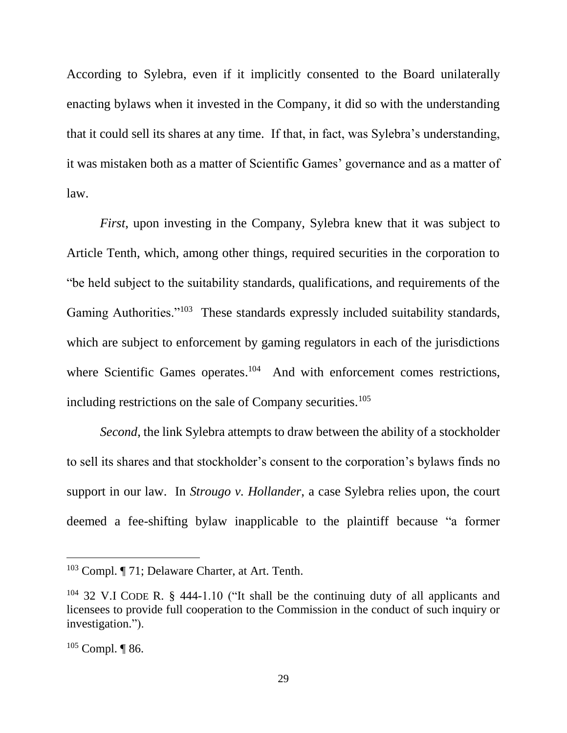According to Sylebra, even if it implicitly consented to the Board unilaterally enacting bylaws when it invested in the Company, it did so with the understanding that it could sell its shares at any time. If that, in fact, was Sylebra's understanding, it was mistaken both as a matter of Scientific Games' governance and as a matter of law.

*First*, upon investing in the Company, Sylebra knew that it was subject to Article Tenth, which, among other things, required securities in the corporation to "be held subject to the suitability standards, qualifications, and requirements of the Gaming Authorities."<sup>103</sup> These standards expressly included suitability standards, which are subject to enforcement by gaming regulators in each of the jurisdictions where Scientific Games operates.<sup>104</sup> And with enforcement comes restrictions, including restrictions on the sale of Company securities.<sup>105</sup>

*Second*, the link Sylebra attempts to draw between the ability of a stockholder to sell its shares and that stockholder's consent to the corporation's bylaws finds no support in our law. In *Strougo v. Hollander*, a case Sylebra relies upon, the court deemed a fee-shifting bylaw inapplicable to the plaintiff because "a former

<sup>103</sup> Compl. ¶ 71; Delaware Charter, at Art. Tenth.

<sup>104</sup> 32 V.I CODE R. § 444-1.10 ("It shall be the continuing duty of all applicants and licensees to provide full cooperation to the Commission in the conduct of such inquiry or investigation.").

 $105$  Compl. | 86.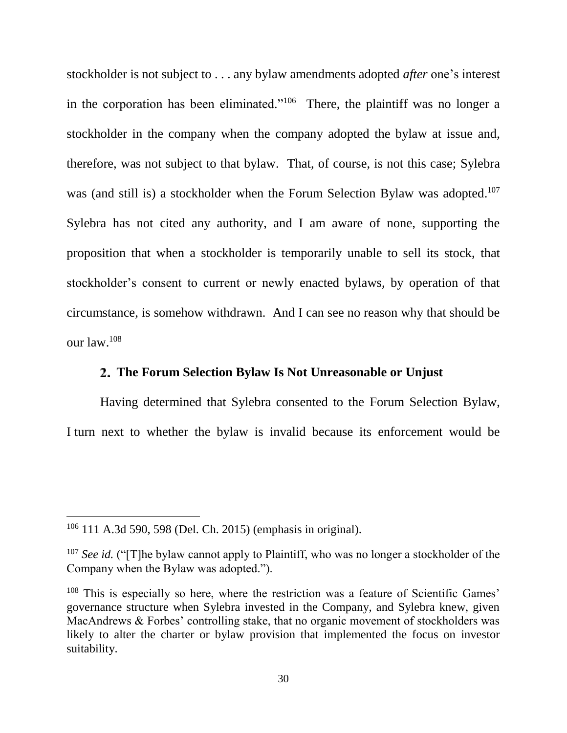stockholder is not subject to . . . any bylaw amendments adopted *after* one's interest in the corporation has been eliminated."<sup>106</sup> There, the plaintiff was no longer a stockholder in the company when the company adopted the bylaw at issue and, therefore, was not subject to that bylaw. That, of course, is not this case; Sylebra was (and still is) a stockholder when the Forum Selection Bylaw was adopted.<sup>107</sup> Sylebra has not cited any authority, and I am aware of none, supporting the proposition that when a stockholder is temporarily unable to sell its stock, that stockholder's consent to current or newly enacted bylaws, by operation of that circumstance, is somehow withdrawn. And I can see no reason why that should be our law. 108

## **The Forum Selection Bylaw Is Not Unreasonable or Unjust**

Having determined that Sylebra consented to the Forum Selection Bylaw, I turn next to whether the bylaw is invalid because its enforcement would be

<sup>106</sup> 111 A.3d 590, 598 (Del. Ch. 2015) (emphasis in original).

<sup>&</sup>lt;sup>107</sup> *See id.* ("[T]he bylaw cannot apply to Plaintiff, who was no longer a stockholder of the Company when the Bylaw was adopted.").

 $108$  This is especially so here, where the restriction was a feature of Scientific Games' governance structure when Sylebra invested in the Company, and Sylebra knew, given MacAndrews & Forbes' controlling stake, that no organic movement of stockholders was likely to alter the charter or bylaw provision that implemented the focus on investor suitability.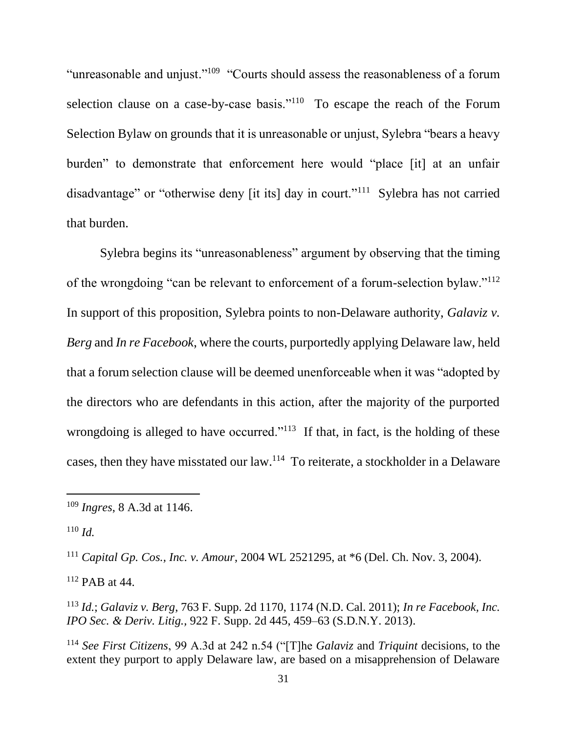"unreasonable and unjust."<sup>109</sup> "Courts should assess the reasonableness of a forum selection clause on a case-by-case basis." $1^{10}$  To escape the reach of the Forum Selection Bylaw on grounds that it is unreasonable or unjust, Sylebra "bears a heavy burden" to demonstrate that enforcement here would "place [it] at an unfair disadvantage" or "otherwise deny [it its] day in court."<sup>111</sup> Sylebra has not carried that burden.

Sylebra begins its "unreasonableness" argument by observing that the timing of the wrongdoing "can be relevant to enforcement of a forum-selection bylaw."<sup>112</sup> In support of this proposition, Sylebra points to non-Delaware authority, *Galaviz v. Berg* and *In re Facebook*, where the courts, purportedly applying Delaware law, held that a forum selection clause will be deemed unenforceable when it was "adopted by the directors who are defendants in this action, after the majority of the purported wrongdoing is alleged to have occurred."<sup>113</sup> If that, in fact, is the holding of these cases, then they have misstated our law.<sup>114</sup> To reiterate, a stockholder in a Delaware

<sup>110</sup> *Id.*

 $\overline{a}$ 

<sup>111</sup> *Capital Gp. Cos., Inc. v. Amour*, 2004 WL 2521295, at \*6 (Del. Ch. Nov. 3, 2004).

<sup>112</sup> PAB at 44.

<sup>113</sup> *Id.*; *Galaviz v. Berg*, 763 F. Supp. 2d 1170, 1174 (N.D. Cal. 2011); *In re Facebook, Inc. IPO Sec. & Deriv. Litig.,* 922 F. Supp. 2d 445, 459–63 (S.D.N.Y. 2013).

<sup>114</sup> *See First Citizens*, 99 A.3d at 242 n.54 ("[T]he *Galaviz* and *Triquint* decisions, to the extent they purport to apply Delaware law, are based on a misapprehension of Delaware

<sup>109</sup> *Ingres*, 8 A.3d at 1146.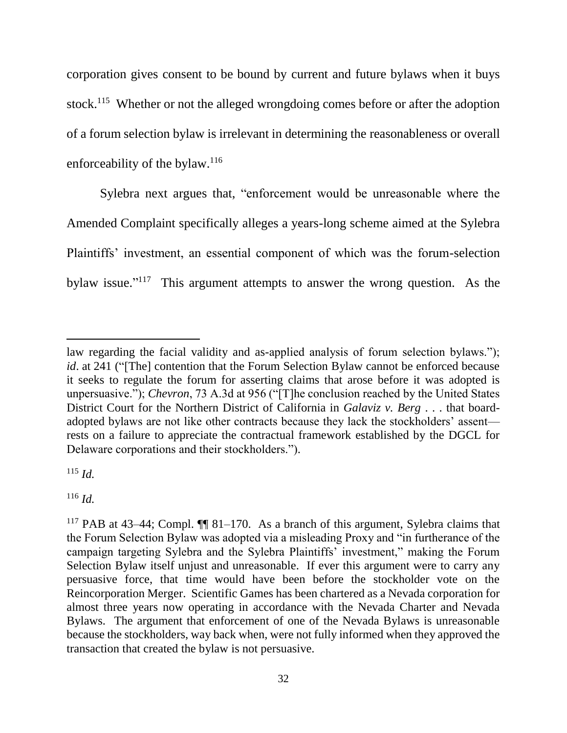corporation gives consent to be bound by current and future bylaws when it buys stock.<sup>115</sup> Whether or not the alleged wrongdoing comes before or after the adoption of a forum selection bylaw is irrelevant in determining the reasonableness or overall enforceability of the bylaw.<sup>116</sup>

Sylebra next argues that, "enforcement would be unreasonable where the Amended Complaint specifically alleges a years-long scheme aimed at the Sylebra Plaintiffs' investment, an essential component of which was the forum-selection bylaw issue."<sup>117</sup> This argument attempts to answer the wrong question. As the

<sup>115</sup> *Id.*

l

<sup>116</sup> *Id.*

law regarding the facial validity and as-applied analysis of forum selection bylaws."); *id*. at 241 ("The] contention that the Forum Selection Bylaw cannot be enforced because it seeks to regulate the forum for asserting claims that arose before it was adopted is unpersuasive."); *Chevron*, 73 A.3d at 956 ("[T]he conclusion reached by the United States District Court for the Northern District of California in *Galaviz v. Berg* . . . that boardadopted bylaws are not like other contracts because they lack the stockholders' assent rests on a failure to appreciate the contractual framework established by the DGCL for Delaware corporations and their stockholders.").

<sup>117</sup> PAB at 43–44; Compl. ¶¶ 81–170. As a branch of this argument, Sylebra claims that the Forum Selection Bylaw was adopted via a misleading Proxy and "in furtherance of the campaign targeting Sylebra and the Sylebra Plaintiffs' investment," making the Forum Selection Bylaw itself unjust and unreasonable. If ever this argument were to carry any persuasive force, that time would have been before the stockholder vote on the Reincorporation Merger. Scientific Games has been chartered as a Nevada corporation for almost three years now operating in accordance with the Nevada Charter and Nevada Bylaws. The argument that enforcement of one of the Nevada Bylaws is unreasonable because the stockholders, way back when, were not fully informed when they approved the transaction that created the bylaw is not persuasive.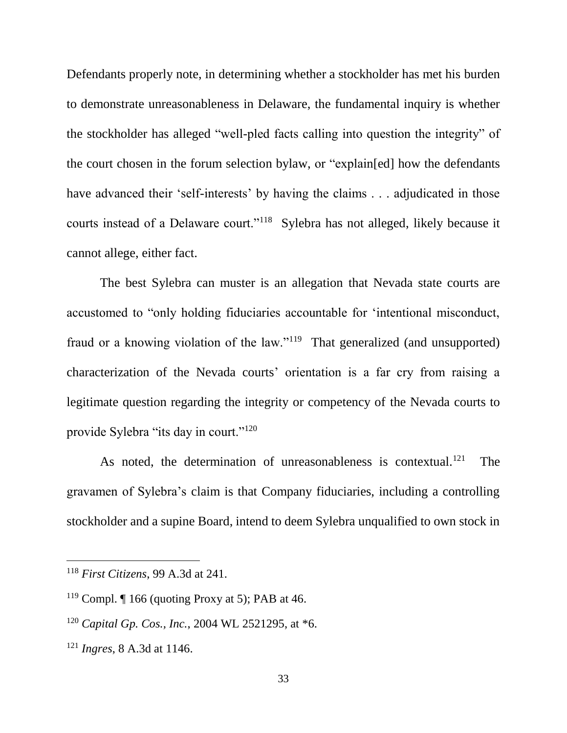Defendants properly note, in determining whether a stockholder has met his burden to demonstrate unreasonableness in Delaware, the fundamental inquiry is whether the stockholder has alleged "well-pled facts calling into question the integrity" of the court chosen in the forum selection bylaw, or "explain[ed] how the defendants have advanced their 'self-interests' by having the claims . . . adjudicated in those courts instead of a Delaware court."<sup>118</sup> Sylebra has not alleged, likely because it cannot allege, either fact.

The best Sylebra can muster is an allegation that Nevada state courts are accustomed to "only holding fiduciaries accountable for 'intentional misconduct, fraud or a knowing violation of the law."<sup>119</sup> That generalized (and unsupported) characterization of the Nevada courts' orientation is a far cry from raising a legitimate question regarding the integrity or competency of the Nevada courts to provide Sylebra "its day in court."<sup>120</sup>

As noted, the determination of unreasonableness is contextual.<sup>121</sup> The gravamen of Sylebra's claim is that Company fiduciaries, including a controlling stockholder and a supine Board, intend to deem Sylebra unqualified to own stock in

<sup>118</sup> *First Citizens*, 99 A.3d at 241.

<sup>&</sup>lt;sup>119</sup> Compl.  $\P$  166 (quoting Proxy at 5); PAB at 46.

<sup>120</sup> *Capital Gp. Cos., Inc.*, 2004 WL 2521295, at \*6.

<sup>121</sup> *Ingres*, 8 A.3d at 1146.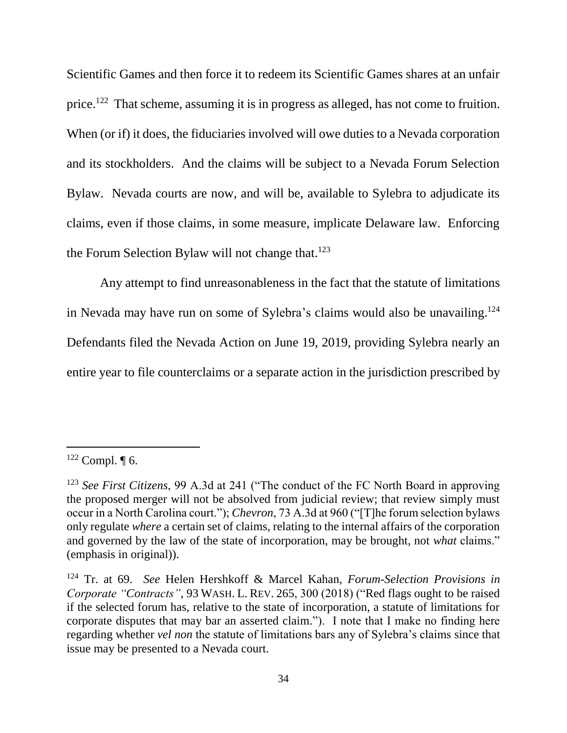Scientific Games and then force it to redeem its Scientific Games shares at an unfair price.<sup>122</sup> That scheme, assuming it is in progress as alleged, has not come to fruition. When (or if) it does, the fiduciaries involved will owe duties to a Nevada corporation and its stockholders. And the claims will be subject to a Nevada Forum Selection Bylaw. Nevada courts are now, and will be, available to Sylebra to adjudicate its claims, even if those claims, in some measure, implicate Delaware law. Enforcing the Forum Selection Bylaw will not change that.<sup>123</sup>

Any attempt to find unreasonableness in the fact that the statute of limitations in Nevada may have run on some of Sylebra's claims would also be unavailing.<sup>124</sup> Defendants filed the Nevada Action on June 19, 2019, providing Sylebra nearly an entire year to file counterclaims or a separate action in the jurisdiction prescribed by

 $122$  Compl.  $\P$  6.

<sup>123</sup> *See First Citizens*, 99 A.3d at 241 ("The conduct of the FC North Board in approving the proposed merger will not be absolved from judicial review; that review simply must occur in a North Carolina court."); *Chevron*, 73 A.3d at 960 ("[T]he forum selection bylaws only regulate *where* a certain set of claims, relating to the internal affairs of the corporation and governed by the law of the state of incorporation, may be brought, not *what* claims." (emphasis in original)).

<sup>124</sup> Tr. at 69. *See* Helen Hershkoff & Marcel Kahan, *Forum-Selection Provisions in Corporate "Contracts"*, 93 WASH. L. REV. 265, 300 (2018) ("Red flags ought to be raised if the selected forum has, relative to the state of incorporation, a statute of limitations for corporate disputes that may bar an asserted claim."). I note that I make no finding here regarding whether *vel non* the statute of limitations bars any of Sylebra's claims since that issue may be presented to a Nevada court.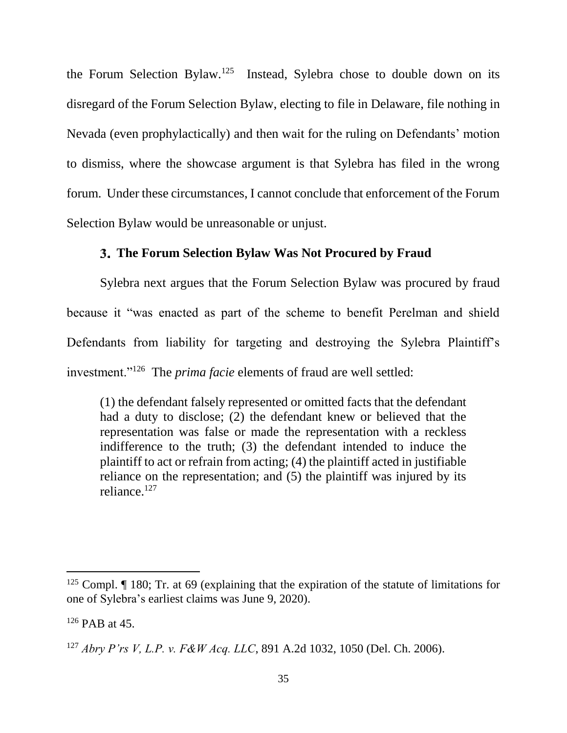the Forum Selection Bylaw.<sup>125</sup> Instead, Sylebra chose to double down on its disregard of the Forum Selection Bylaw, electing to file in Delaware, file nothing in Nevada (even prophylactically) and then wait for the ruling on Defendants' motion to dismiss, where the showcase argument is that Sylebra has filed in the wrong forum. Under these circumstances, I cannot conclude that enforcement of the Forum Selection Bylaw would be unreasonable or unjust.

## **The Forum Selection Bylaw Was Not Procured by Fraud**

Sylebra next argues that the Forum Selection Bylaw was procured by fraud because it "was enacted as part of the scheme to benefit Perelman and shield Defendants from liability for targeting and destroying the Sylebra Plaintiff's investment."<sup>126</sup> The *prima facie* elements of fraud are well settled:

(1) the defendant falsely represented or omitted facts that the defendant had a duty to disclose; (2) the defendant knew or believed that the representation was false or made the representation with a reckless indifference to the truth; (3) the defendant intended to induce the plaintiff to act or refrain from acting; (4) the plaintiff acted in justifiable reliance on the representation; and (5) the plaintiff was injured by its reliance.<sup>127</sup>

<sup>&</sup>lt;sup>125</sup> Compl. I 180; Tr. at 69 (explaining that the expiration of the statute of limitations for one of Sylebra's earliest claims was June 9, 2020).

<sup>126</sup> PAB at 45.

<sup>127</sup> *Abry P'rs V, L.P. v. F&W Acq. LLC*, 891 A.2d 1032, 1050 (Del. Ch. 2006).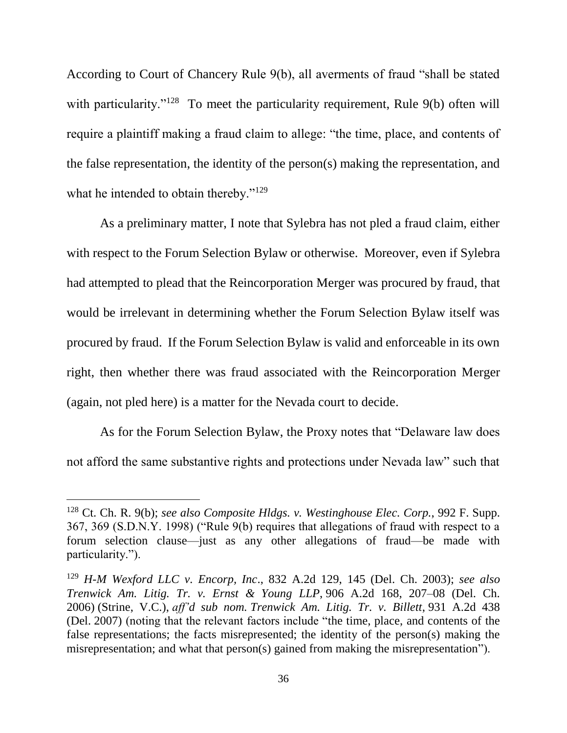According to Court of Chancery Rule 9(b), all averments of fraud "shall be stated with particularity."<sup>128</sup> To meet the particularity requirement, Rule 9(b) often will require a plaintiff making a fraud claim to allege: "the time, place, and contents of the false representation, the identity of the person(s) making the representation, and what he intended to obtain thereby."<sup>129</sup>

As a preliminary matter, I note that Sylebra has not pled a fraud claim, either with respect to the Forum Selection Bylaw or otherwise. Moreover, even if Sylebra had attempted to plead that the Reincorporation Merger was procured by fraud, that would be irrelevant in determining whether the Forum Selection Bylaw itself was procured by fraud. If the Forum Selection Bylaw is valid and enforceable in its own right, then whether there was fraud associated with the Reincorporation Merger (again, not pled here) is a matter for the Nevada court to decide.

As for the Forum Selection Bylaw, the Proxy notes that "Delaware law does not afford the same substantive rights and protections under Nevada law" such that

<sup>128</sup> Ct. Ch. R. 9(b); *see also Composite Hldgs. v. Westinghouse Elec. Corp.*, 992 F. Supp. 367, 369 (S.D.N.Y. 1998) ("Rule 9(b) requires that allegations of fraud with respect to a forum selection clause—just as any other allegations of fraud—be made with particularity.").

<sup>129</sup> *H-M Wexford LLC v. Encorp, Inc*., 832 A.2d 129, 145 (Del. Ch. 2003); *see also Trenwick Am. Litig. Tr. v. Ernst & Young LLP*, 906 A.2d 168, 207–08 (Del. Ch. 2006) (Strine, V.C.), *aff'd sub nom. Trenwick Am. Litig. Tr. v. Billett*, 931 A.2d 438 (Del. 2007) (noting that the relevant factors include "the time, place, and contents of the false representations; the facts misrepresented; the identity of the person(s) making the misrepresentation; and what that person(s) gained from making the misrepresentation").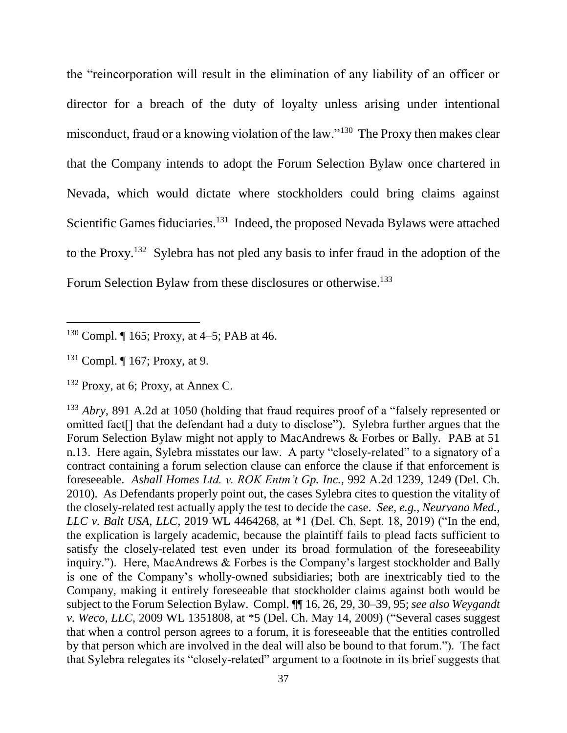the "reincorporation will result in the elimination of any liability of an officer or director for a breach of the duty of loyalty unless arising under intentional misconduct, fraud or a knowing violation of the law."<sup>130</sup> The Proxy then makes clear that the Company intends to adopt the Forum Selection Bylaw once chartered in Nevada, which would dictate where stockholders could bring claims against Scientific Games fiduciaries.<sup>131</sup> Indeed, the proposed Nevada Bylaws were attached to the Proxy.<sup>132</sup> Sylebra has not pled any basis to infer fraud in the adoption of the Forum Selection Bylaw from these disclosures or otherwise.<sup>133</sup>

 $130$  Compl.  $\P$  165; Proxy, at 4–5; PAB at 46.

<sup>131</sup> Compl. ¶ 167; Proxy, at 9.

<sup>132</sup> Proxy, at 6; Proxy, at Annex C.

<sup>133</sup> *Abry*, 891 A.2d at 1050 (holding that fraud requires proof of a "falsely represented or omitted fact[] that the defendant had a duty to disclose"). Sylebra further argues that the Forum Selection Bylaw might not apply to MacAndrews & Forbes or Bally. PAB at 51 n.13. Here again, Sylebra misstates our law. A party "closely-related" to a signatory of a contract containing a forum selection clause can enforce the clause if that enforcement is foreseeable. *Ashall Homes Ltd. v. ROK Entm't Gp. Inc.*, 992 A.2d 1239, 1249 (Del. Ch. 2010). As Defendants properly point out, the cases Sylebra cites to question the vitality of the closely-related test actually apply the test to decide the case. *See, e.g.*, *Neurvana Med., LLC v. Balt USA, LLC,* 2019 WL 4464268, at \*1 (Del. Ch. Sept. 18, 2019) ("In the end, the explication is largely academic, because the plaintiff fails to plead facts sufficient to satisfy the closely-related test even under its broad formulation of the foreseeability inquiry."). Here, MacAndrews & Forbes is the Company's largest stockholder and Bally is one of the Company's wholly-owned subsidiaries; both are inextricably tied to the Company, making it entirely foreseeable that stockholder claims against both would be subject to the Forum Selection Bylaw. Compl. ¶¶ 16, 26, 29, 30–39, 95; *see also Weygandt v. Weco, LLC*, 2009 WL 1351808, at \*5 (Del. Ch. May 14, 2009) ("Several cases suggest that when a control person agrees to a forum, it is foreseeable that the entities controlled by that person which are involved in the deal will also be bound to that forum."). The fact that Sylebra relegates its "closely-related" argument to a footnote in its brief suggests that